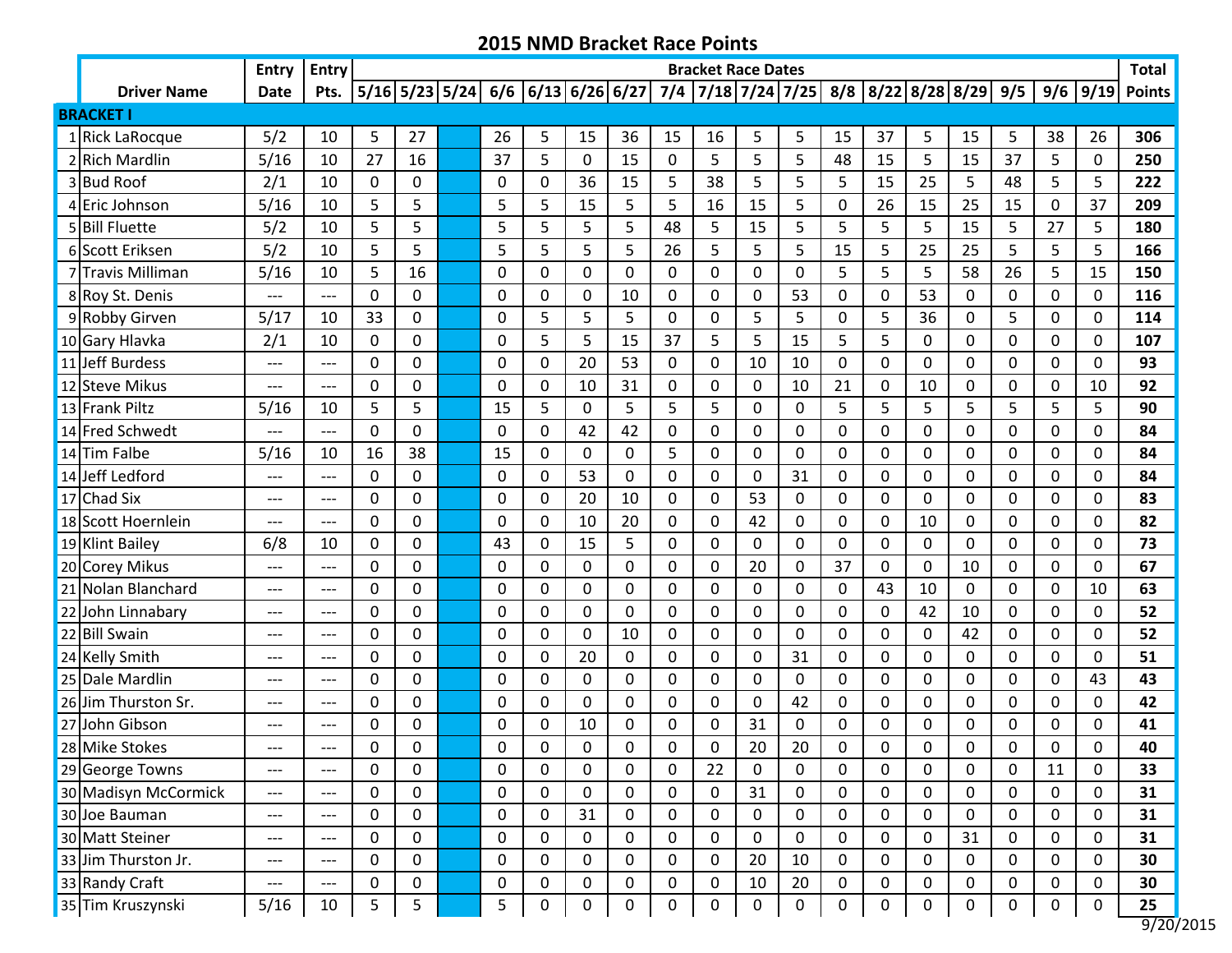|                      | <b>Entry</b> | Entry               |             |             |             |                  |             |             |          |             | <b>Bracket Race Dates</b> |                                                                                    |              |             |             |    |    |              |                  | <b>Total</b>         |
|----------------------|--------------|---------------------|-------------|-------------|-------------|------------------|-------------|-------------|----------|-------------|---------------------------|------------------------------------------------------------------------------------|--------------|-------------|-------------|----|----|--------------|------------------|----------------------|
| <b>Driver Name</b>   | <b>Date</b>  | Pts.                |             |             |             |                  |             |             |          |             |                           | 5/16 5/23 5/24  6/6  6/13 6/26 6/27  7/4  7/18 7/24 7/25  8/8  8/22 8/28 8/29  9/5 |              |             |             |    |    |              | $9/6$   9/19     | <b>Points</b>        |
| <b>BRACKET I</b>     |              |                     |             |             |             |                  |             |             |          |             |                           |                                                                                    |              |             |             |    |    |              |                  |                      |
| 1 Rick LaRocque      | 5/2          | 10                  | 5           | 27          | 26          | 5                | 15          | 36          | 15       | 16          | 5                         | 5                                                                                  | 15           | 37          | 5           | 15 | 5  | 38           | 26               | 306                  |
| 2 Rich Mardlin       | 5/16         | 10                  | 27          | 16          | 37          | 5                | 0           | 15          | 0        | 5           | 5                         | 5                                                                                  | 48           | 15          | 5           | 15 | 37 | 5            | $\mathbf 0$      | 250                  |
| 3 Bud Roof           | 2/1          | 10                  | $\Omega$    | 0           | 0           | 0                | 36          | 15          | 5        | 38          | 5                         | 5                                                                                  | 5            | 15          | 25          | 5  | 48 | 5            | 5                | 222                  |
| 4 Eric Johnson       | 5/16         | 10                  | 5           | 5           | 5           | 5                | 15          | 5           | 5        | 16          | 15                        | 5                                                                                  | $\mathbf 0$  | 26          | 15          | 25 | 15 | $\mathbf 0$  | 37               | 209                  |
| 5 Bill Fluette       | 5/2          | 10                  | 5           | 5           | 5           | 5                | 5           | 5           | 48       | 5           | 15                        | 5                                                                                  | 5            | 5           | 5           | 15 | 5  | 27           | 5                | 180                  |
| 6 Scott Eriksen      | 5/2          | 10                  | 5           | 5           | 5           | 5                | 5           | 5           | 26       | 5           | 5                         | 5                                                                                  | 15           | 5           | 25          | 25 | 5  | 5            | 5                | 166                  |
| 7 Travis Milliman    | 5/16         | 10                  | 5           | 16          | 0           | 0                | 0           | $\mathbf 0$ | 0        | 0           | 0                         | $\boldsymbol{0}$                                                                   | 5            | 5           | 5           | 58 | 26 | 5            | 15               | 150                  |
| 8 Roy St. Denis      | ---          | $---$               | 0           | 0           | 0           | 0                | 0           | 10          | 0        | 0           | 0                         | 53                                                                                 | 0            | 0           | 53          | 0  | 0  | 0            | 0                | 116                  |
| 9 Robby Girven       | 5/17         | 10                  | 33          | 0           | 0           | 5                | 5           | 5           | 0        | 0           | 5                         | 5                                                                                  | $\mathbf 0$  | 5           | 36          | 0  | 5  | 0            | $\Omega$         | 114                  |
| 10 Gary Hlavka       | 2/1          | 10                  | 0           | 0           | 0           | 5                | 5           | 15          | 37       | 5           | 5                         | 15                                                                                 | 5            | 5           | 0           | 0  | 0  | 0            | $\Omega$         | 107                  |
| 11 Jeff Burdess      | ---          | ---                 | $\mathbf 0$ | 0           | 0           | 0                | 20          | 53          | $\Omega$ | 0           | 10                        | 10                                                                                 | $\mathbf{0}$ | 0           | 0           | 0  | 0  | 0            | $\Omega$         | 93                   |
| 12 Steve Mikus       | ---          | ---                 | 0           | 0           | $\Omega$    | 0                | 10          | 31          | 0        | 0           | $\Omega$                  | 10                                                                                 | 21           | 0           | 10          | 0  | 0  | 0            | 10               | 92                   |
| 13 Frank Piltz       | 5/16         | 10                  | 5           | 5           | 15          | 5                | 0           | 5           | 5        | 5           | 0                         | 0                                                                                  | 5            | 5           | 5           | 5  | 5  | 5            | 5                | 90                   |
| 14 Fred Schwedt      | ---          | $---$               | 0           | 0           | 0           | 0                | 42          | 42          | 0        | 0           | 0                         | $\boldsymbol{0}$                                                                   | 0            | 0           | 0           | 0  | 0  | 0            | 0                | 84                   |
| 14 Tim Falbe         | 5/16         | 10                  | 16          | 38          | 15          | 0                | 0           | 0           | 5        | 0           | 0                         | 0                                                                                  | 0            | 0           | 0           | 0  | 0  | 0            | $\Omega$         | 84                   |
| 14 Jeff Ledford      | ---          | ---                 | $\Omega$    | 0           | 0           | $\mathbf 0$      | 53          | $\mathbf 0$ | 0        | 0           | 0                         | 31                                                                                 | 0            | 0           | 0           | 0  | 0  | $\Omega$     | $\mathbf 0$      | 84                   |
| 17 Chad Six          | ---          | $---$               | 0           | 0           | $\Omega$    | 0                | 20          | 10          | $\Omega$ | 0           | 53                        | 0                                                                                  | 0            | 0           | 0           | 0  | 0  | 0            | $\Omega$         | 83                   |
| 18 Scott Hoernlein   | ---          | ---                 | $\Omega$    | 0           | 0           | 0                | 10          | 20          | $\Omega$ | 0           | 42                        | 0                                                                                  | 0            | 0           | 10          | 0  | 0  | 0            | $\Omega$         | 82                   |
| 19 Klint Bailey      | 6/8          | 10                  | 0           | 0           | 43          | 0                | 15          | 5           | 0        | 0           | 0                         | 0                                                                                  | 0            | 0           | 0           | 0  | 0  | 0            | 0                | 73                   |
| 20 Corey Mikus       | ---          | $---$               | 0           | 0           | 0           | 0                | 0           | 0           | 0        | 0           | 20                        | 0                                                                                  | 37           | 0           | 0           | 10 | 0  | $\mathbf 0$  | 0                | 67                   |
| 21 Nolan Blanchard   | ---          | $---$               | 0           | 0           | $\Omega$    | $\mathbf 0$      | 0           | $\mathbf 0$ | $\Omega$ | 0           | 0                         | $\mathbf 0$                                                                        | $\Omega$     | 43          | 10          | 0  | 0  | $\Omega$     | 10               | 63                   |
| 22 John Linnabary    | ---          | ---                 | 0           | 0           | $\Omega$    | 0                | 0           | $\mathbf 0$ | $\Omega$ | 0           | 0                         | 0                                                                                  | 0            | 0           | 42          | 10 | 0  | $\Omega$     | 0                | 52                   |
| 22 Bill Swain        | ---          | $---$               | $\mathbf 0$ | 0           | 0           | $\mathbf 0$      | 0           | 10          | 0        | 0           | $\Omega$                  | $\mathbf 0$                                                                        | $\mathbf{0}$ | 0           | 0           | 42 | 0  | 0            | $\mathbf 0$      | 52                   |
| 24 Kelly Smith       | ---          | $---$               | 0           | 0           | 0           | 0                | 20          | 0           | 0        | 0           | 0                         | 31                                                                                 | 0            | 0           | 0           | 0  | 0  | 0            | 0                | 51                   |
| 25 Dale Mardlin      | ---          | $---$               | 0           | 0           | 0           | 0                | 0           | $\mathbf 0$ | 0        | 0           | 0                         | 0                                                                                  | 0            | 0           | 0           | 0  | 0  | 0            | 43               | 43                   |
| 26 Jim Thurston Sr.  | ---          | $---$               | 0           | 0           | 0           | 0                | 0           | $\mathbf 0$ | 0        | 0           | 0                         | 42                                                                                 | 0            | 0           | 0           | 0  | 0  | 0            | 0                | 42                   |
| 27 John Gibson       | ---          | $---$               | 0           | 0           | 0           | 0                | 10          | 0           | 0        | 0           | 31                        | 0                                                                                  | 0            | 0           | $\pmb{0}$   | 0  | 0  | 0            | 0                | 41                   |
| 28 Mike Stokes       | ---          | $---$               | 0           | 0           | 0           | 0                | 0           | $\mathbf 0$ | $\Omega$ | 0           | 20                        | 20                                                                                 | 0            | 0           | 0           | 0  | 0  | $\mathbf{0}$ | $\Omega$         | 40                   |
| 29 George Towns      | ---          | $---$               | 0           | 0           | 0           | 0                | 0           | 0           | 0        | 22          | $\Omega$                  | 0                                                                                  | 0            | 0           | 0           | 0  | 0  | 11           | $\Omega$         | 33                   |
| 30 Madisyn McCormick | ---          | $\qquad \qquad - -$ | $\mathbf 0$ | 0           | $\mathbf 0$ | $\mathbf 0$      | $\pmb{0}$   | $\mathbf 0$ | 0        | $\mathbf 0$ | 31                        | $\pmb{0}$                                                                          | $\mathbf 0$  | $\mathbf 0$ | $\mathbf 0$ | 0  | 0  | $\mathbf 0$  | $\mathbf 0$      | 31                   |
| 30 Joe Bauman        | ---          | $---$               | 0           | 0           | $\mathbf 0$ | $\mathbf 0$      | 31          | 0           | 0        | 0           | 0                         | 0                                                                                  | 0            | $\mathbf 0$ | 0           | 0  | 0  | 0            | $\mathbf{0}$     | 31                   |
| 30 Matt Steiner      | ---          | ---                 | $\mathbf 0$ | $\mathbf 0$ | $\pmb{0}$   | $\mathbf 0$      | $\mathbf 0$ | $\mathbf 0$ | 0        | $\mathbf 0$ | $\mathbf 0$               | $\mathbf 0$                                                                        | $\mathbf 0$  | 0           | $\mathbf 0$ | 31 | 0  | 0            | 0                | 31                   |
| 33 Jim Thurston Jr.  | ---          | $---$               | 0           | $\mathbf 0$ | 0           | $\mathbf 0$      | $\mathbf 0$ | $\mathbf 0$ | 0        | 0           | 20                        | 10                                                                                 | $\mathbf 0$  | 0           | 0           | 0  | 0  | $\mathbf 0$  | 0                | 30                   |
| 33 Randy Craft       | ---          | $\qquad \qquad - -$ | 0           | 0           | 0           | $\boldsymbol{0}$ | 0           | 0           | 0        | 0           | 10                        | 20                                                                                 | 0            | $\mathbf 0$ | 0           | 0  | 0  | 0            | 0                | 30                   |
| 35 Tim Kruszynski    | 5/16         | 10                  | 5           | 5           | 5           | $\boldsymbol{0}$ | 0           | $\mathbf 0$ | 0        | $\mathbf 0$ | $\mathbf 0$               | $\pmb{0}$                                                                          | $\pmb{0}$    | $\pmb{0}$   | $\pmb{0}$   | 0  | 0  | $\mathbf 0$  | $\boldsymbol{0}$ | 25<br>$\overline{a}$ |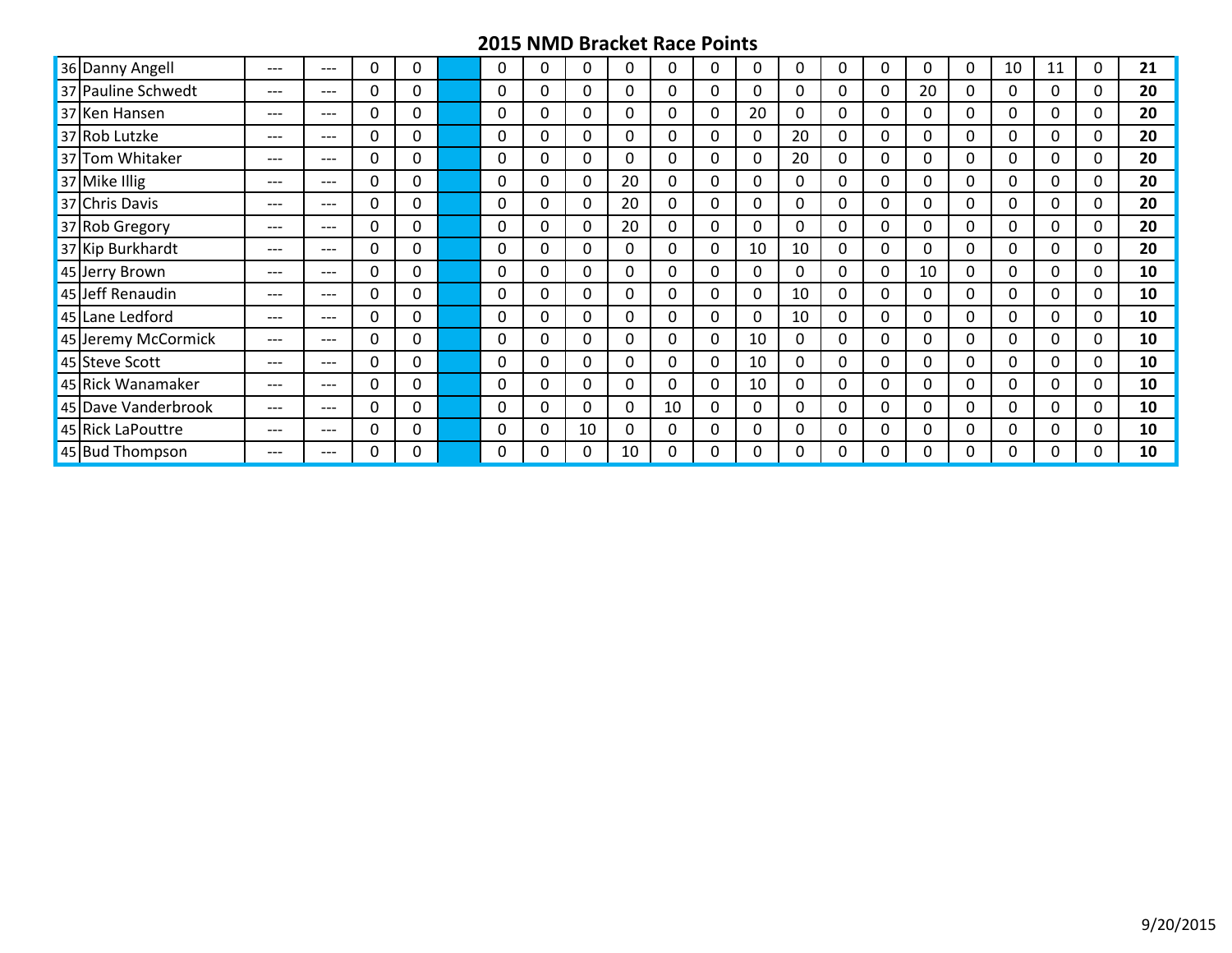| 36 Danny Angell     | $---$ | $---$ | $\Omega$ | 0        |          | 0 | $\Omega$ | $\Omega$         | 0        | 0        |    | 0  | 0            | $\Omega$ | 0        | 0        | 10 | 11       | 0 | 21 |
|---------------------|-------|-------|----------|----------|----------|---|----------|------------------|----------|----------|----|----|--------------|----------|----------|----------|----|----------|---|----|
| 37 Pauline Schwedt  | $---$ | ---   | 0        | 0        |          | 0 | 0        | 0                | 0        | 0        |    | 0  | $\Omega$     | 0        | 20       | 0        | 0  | 0        | 0 | 20 |
| 37 Ken Hansen       | $---$ | $---$ | 0        | 0        | 0        | 0 | $\Omega$ | 0                | 0        | 0        | 20 | 0  | 0            | 0        | 0        | 0        | 0  | 0        | 0 | 20 |
| 37 Rob Lutzke       | $---$ | ---   | 0        | 0        | 0        | 0 | 0        | 0                | 0        | 0        |    | 20 | 0            | 0        | 0        | 0        | 0  | 0        | 0 | 20 |
| 37 Tom Whitaker     | $---$ | ---   | 0        | 0        | 0        | 0 | 0        | 0                | 0        | 0        |    | 20 | 0            | 0        | 0        | 0        | 0  | 0        | 0 | 20 |
| 37 Mike Illig       | $---$ | $---$ | 0        | 0        | 0        | 0 | $\Omega$ | 20               | 0        | 0        | 0  | 0  | 0            | 0        | $\Omega$ | 0        | 0  | 0        | 0 | 20 |
| 37 Chris Davis      | $---$ | $---$ | 0        | $\Omega$ | 0        | 0 | $\Omega$ | 20               | $\Omega$ | 0        | 0  | 0  | $\Omega$     | $\Omega$ | $\Omega$ | 0        | 0  | 0        | 0 | 20 |
| 37 Rob Gregory      | $---$ | $---$ | 0        | $\Omega$ | $\Omega$ | 0 | $\Omega$ | 20               | $\Omega$ | 0        | 0  | 0  | $\Omega$     | $\Omega$ | 0        | 0        | 0  | 0        | 0 | 20 |
| 37 Kip Burkhardt    | $---$ | $---$ | $\Omega$ | 0        | $\Omega$ | 0 | $\Omega$ | $\Omega$         | $\Omega$ | $\Omega$ | 10 | 10 | $\Omega$     | $\Omega$ | $\Omega$ | 0        | 0  | 0        | 0 | 20 |
| 45 Jerry Brown      | $---$ | $---$ | $\Omega$ | $\Omega$ | $\Omega$ | 0 | $\Omega$ | $\Omega$         | $\Omega$ | 0        |    | 0  | $\mathbf{0}$ | $\Omega$ | 10       | $\Omega$ | 0  | $\Omega$ | 0 | 10 |
| 45 Jeff Renaudin    | $---$ | $---$ | $\Omega$ | 0        | 0        | 0 | 0        | 0                | 0        | 0        |    | 10 | 0            | $\Omega$ | 0        | 0        | 0  | 0        | 0 | 10 |
| 45 Lane Ledford     | $---$ | $---$ | $\Omega$ | 0        | 0        | 0 | 0        | 0                | $\Omega$ | 0        |    | 10 | 0            | 0        | 0        | 0        | 0  | 0        | 0 | 10 |
| 45 Jeremy McCormick | $---$ | $---$ | 0        | 0        | 0        | 0 | 0        | 0                | 0        | 0        | 10 | 0  | 0            | 0        | 0        | 0        | 0  | 0        | 0 | 10 |
| 45 Steve Scott      | $---$ | $---$ | 0        | 0        | 0        | 0 | 0        | 0                | 0        | 0        | 10 | 0  | 0            | $\Omega$ | 0        | 0        | 0  | 0        | 0 | 10 |
| 45 Rick Wanamaker   | $---$ | $---$ | 0        | 0        | 0        | 0 | 0        | 0                | 0        | 0        | 10 | 0  | 0            | 0        | 0        | 0        | 0  | 0        | 0 | 10 |
| 45 Dave Vanderbrook | $---$ | $---$ | 0        | $\Omega$ | 0        | 0 | 0        | $\boldsymbol{0}$ | 10       | 0        |    | 0  | 0            | 0        | 0        | 0        | 0  | 0        | 0 | 10 |
| 45 Rick LaPouttre   | $---$ | $---$ | 0        | $\Omega$ | 0        | 0 | 10       | 0                | $\Omega$ | 0        |    | 0  | 0            | $\Omega$ | $\Omega$ | 0        | 0  | 0        | 0 | 10 |
| 45 Bud Thompson     | $---$ | $---$ | 0        | 0        |          | 0 | 0        | 10               | 0        | 0        |    | 0  | 0            | 0        | 0        | 0        | 0  | 0        |   | 10 |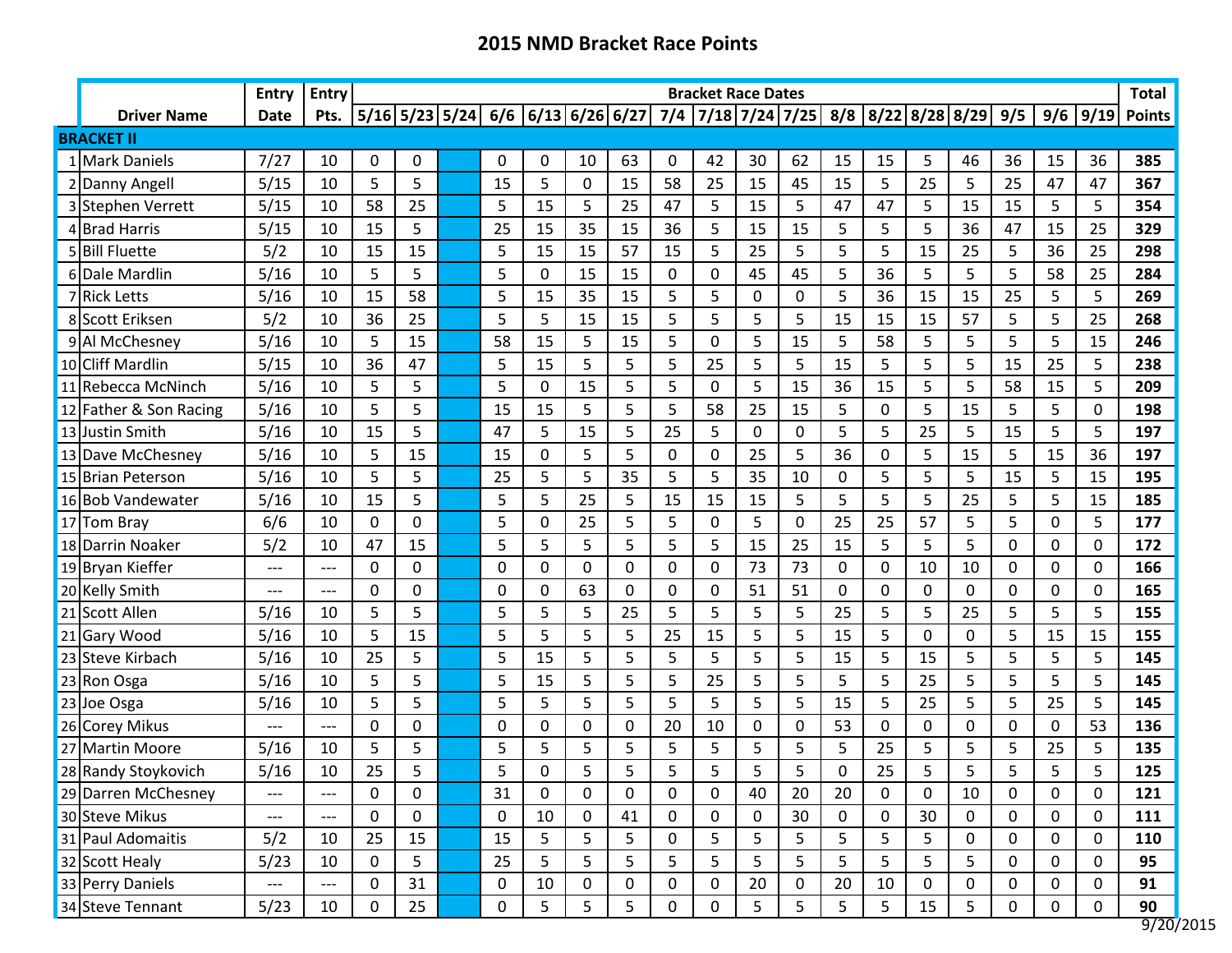|                        | Entry | Entry |    |                  |                  |                      |    |             |           |    | <b>Bracket Race Dates</b> |    |    |              |             |                                       |    |             |      | <b>Total</b>             |
|------------------------|-------|-------|----|------------------|------------------|----------------------|----|-------------|-----------|----|---------------------------|----|----|--------------|-------------|---------------------------------------|----|-------------|------|--------------------------|
| <b>Driver Name</b>     | Date  | Pts.  |    | $5/16$ 5/23 5/24 |                  | $6/6$ 6/13 6/26 6/27 |    |             | 7/4       |    |                           |    |    |              |             | 7/18 7/24 7/25 8/8 8/22 8/28 8/29 9/5 |    | 9/6         | 9/19 | <b>Points</b>            |
| <b>BRACKET II</b>      |       |       |    |                  |                  |                      |    |             |           |    |                           |    |    |              |             |                                       |    |             |      |                          |
| 1 Mark Daniels         | 7/27  | 10    | 0  | 0                | 0                | 0                    | 10 | 63          | 0         | 42 | 30                        | 62 | 15 | 15           | 5           | 46                                    | 36 | 15          | 36   | 385                      |
| 2 Danny Angell         | 5/15  | 10    | 5  | 5                | 15               | 5                    | 0  | 15          | 58        | 25 | 15                        | 45 | 15 | 5            | 25          | 5                                     | 25 | 47          | 47   | 367                      |
| 3 Stephen Verrett      | 5/15  | 10    | 58 | 25               | 5                | 15                   | 5  | 25          | 47        | 5  | 15                        | 5  | 47 | 47           | 5           | 15                                    | 15 | 5           | 5    | 354                      |
| 4 Brad Harris          | 5/15  | 10    | 15 | 5                | 25               | 15                   | 35 | 15          | 36        | 5  | 15                        | 15 | 5  | 5            | 5           | 36                                    | 47 | 15          | 25   | 329                      |
| 5 Bill Fluette         | 5/2   | 10    | 15 | 15               | 5                | 15                   | 15 | 57          | 15        | 5  | 25                        | 5  | 5  | 5            | 15          | 25                                    | 5  | 36          | 25   | 298                      |
| 6Dale Mardlin          | 5/16  | 10    | 5  | 5                | 5                | 0                    | 15 | 15          | 0         | 0  | 45                        | 45 | 5  | 36           | 5           | 5                                     | 5  | 58          | 25   | 284                      |
| 7 Rick Letts           | 5/16  | 10    | 15 | 58               | 5                | 15                   | 35 | 15          | 5         | 5  | 0                         | 0  | 5  | 36           | 15          | 15                                    | 25 | 5           | 5    | 269                      |
| 8 Scott Eriksen        | 5/2   | 10    | 36 | 25               | 5                | 5                    | 15 | 15          | 5         | 5  | 5                         | 5  | 15 | 15           | 15          | 57                                    | 5  | 5           | 25   | 268                      |
| 9 Al McChesney         | 5/16  | 10    | 5  | 15               | 58               | 15                   | 5  | 15          | 5         | 0  | 5                         | 15 | 5  | 58           | 5           | 5                                     | 5  | 5           | 15   | 246                      |
| 10 Cliff Mardlin       | 5/15  | 10    | 36 | 47               | 5                | 15                   | 5  | 5           | 5         | 25 | 5                         | 5  | 15 | 5            | 5           | 5                                     | 15 | 25          | 5    | 238                      |
| 11 Rebecca McNinch     | 5/16  | 10    | 5  | 5                | 5                | $\mathbf 0$          | 15 | 5           | 5         | 0  | 5                         | 15 | 36 | 15           | 5           | 5                                     | 58 | 15          | 5    | 209                      |
| 12 Father & Son Racing | 5/16  | 10    | 5  | 5                | 15               | 15                   | 5  | 5           | 5         | 58 | 25                        | 15 | 5  | $\Omega$     | 5           | 15                                    | 5  | 5           | 0    | 198                      |
| 13 Justin Smith        | 5/16  | 10    | 15 | 5                | 47               | 5                    | 15 | 5           | 25        | 5  | $\mathbf 0$               | 0  | 5  | 5            | 25          | 5                                     | 15 | 5           | 5    | 197                      |
| 13 Dave McChesney      | 5/16  | 10    | 5  | 15               | 15               | 0                    | 5  | 5           | 0         | 0  | 25                        | 5  | 36 | $\Omega$     | 5           | 15                                    | 5  | 15          | 36   | 197                      |
| 15 Brian Peterson      | 5/16  | 10    | 5  | 5                | 25               | 5                    | 5  | 35          | 5         | 5  | 35                        | 10 | 0  | 5            | 5           | 5                                     | 15 | 5           | 15   | 195                      |
| 16 Bob Vandewater      | 5/16  | 10    | 15 | 5                | 5                | 5                    | 25 | 5           | 15        | 15 | 15                        | 5  | 5  | 5            | 5           | 25                                    | 5  | 5           | 15   | 185                      |
| 17 Tom Bray            | 6/6   | 10    | 0  | 0                | 5                | 0                    | 25 | 5           | 5         | 0  | 5                         | 0  | 25 | 25           | 57          | 5                                     | 5  | 0           | 5    | 177                      |
| 18 Darrin Noaker       | 5/2   | 10    | 47 | 15               | 5                | 5                    | 5  | 5           | 5         | 5  | 15                        | 25 | 15 | 5            | 5           | 5                                     | 0  | $\Omega$    | 0    | 172                      |
| 19 Bryan Kieffer       | ---   | ---   | 0  | 0                | 0                | $\mathbf 0$          | 0  | 0           | 0         | 0  | 73                        | 73 | 0  | $\mathbf{0}$ | 10          | 10                                    | 0  | 0           | 0    | 166                      |
| 20 Kelly Smith         | ---   | ---   | 0  | $\Omega$         | 0                | $\Omega$             | 63 | $\mathbf 0$ | 0         | 0  | 51                        | 51 | 0  | $\mathbf 0$  | $\mathbf 0$ | $\mathbf{0}$                          | 0  | 0           | 0    | 165                      |
| 21 Scott Allen         | 5/16  | 10    | 5  | 5                | 5                | 5                    | 5  | 25          | 5         | 5  | 5                         | 5  | 25 | 5            | 5           | 25                                    | 5  | 5           | 5    | 155                      |
| 21 Gary Wood           | 5/16  | 10    | 5  | 15               | 5                | 5                    | 5  | 5           | 25        | 15 | 5                         | 5  | 15 | 5            | 0           | 0                                     | 5  | 15          | 15   | 155                      |
| 23 Steve Kirbach       | 5/16  | 10    | 25 | 5                | 5                | 15                   | 5  | 5           | 5         | 5  | 5                         | 5  | 15 | 5            | 15          | 5                                     | 5  | 5           | 5    | 145                      |
| 23 Ron Osga            | 5/16  | 10    | 5  | 5                | 5                | 15                   | 5  | 5           | 5         | 25 | 5                         | 5  | 5  | 5            | 25          | 5                                     | 5  | 5           | 5    | 145                      |
| 23 Joe Osga            | 5/16  | 10    | 5  | 5                | 5                | 5                    | 5  | 5           | 5         | 5  | 5                         | 5  | 15 | 5            | 25          | 5                                     | 5  | 25          | 5    | 145                      |
| 26 Corey Mikus         | ---   | ---   | 0  | 0                | 0                | 0                    | 0  | 0           | 20        | 10 | $\Omega$                  | 0  | 53 | 0            | 0           | 0                                     | 0  | $\Omega$    | 53   | 136                      |
| 27 Martin Moore        | 5/16  | 10    | 5  | 5                | 5                | 5                    | 5  | 5           | 5         | 5  | 5                         | 5  | 5  | 25           | 5           | 5                                     | 5  | 25          | 5    | 135                      |
| 28 Randy Stoykovich    | 5/16  | 10    | 25 | 5                | 5                | 0                    | 5  | 5           | 5         | 5  | 5                         | 5  | 0  | 25           | 5           | 5                                     | 5  | 5           | 5    | 125                      |
| 29 Darren McChesney    | ---   | ---   | 0  | 0                | 31               | 0                    | 0  | $\mathbf 0$ | 0         | 0  | 40                        | 20 | 20 | 0            | 0           | 10                                    | 0  | 0           | 0    | 121                      |
| 30 Steve Mikus         | $---$ | ---   | 0  | 0                | $\boldsymbol{0}$ | 10                   | 0  | 41          | $\pmb{0}$ | 0  | 0                         | 30 | 0  | 0            | 30          | $\mathbf 0$                           | 0  | $\mathbf 0$ | 0    | 111                      |
| 31 Paul Adomaitis      | 5/2   | 10    | 25 | 15               | 15               | 5                    | 5  | 5           | 0         | 5  | 5                         | 5  | 5  | 5            | 5           | 0                                     | 0  | 0           | 0    | 110                      |
| 32 Scott Healy         | 5/23  | 10    | 0  | 5                | 25               | 5                    | 5  | 5           | 5         | 5  | 5                         | 5  | 5  | 5            | 5           | 5                                     | 0  | $\mathbf 0$ | 0    | 95                       |
| 33 Perry Daniels       | $---$ | ---   | 0  | 31               | 0                | 10                   | 0  | 0           | 0         | 0  | 20                        | 0  | 20 | 10           | 0           | 0                                     | 0  | 0           | 0    | 91                       |
| 34 Steve Tennant       | 5/23  | 10    | 0  | 25               | $\pmb{0}$        | 5                    | 5  | 5           | 0         | 0  | 5                         | 5  | 5  | 5            | 15          | 5                                     | 0  | 0           | 0    | 90<br>$\overline{0.120}$ |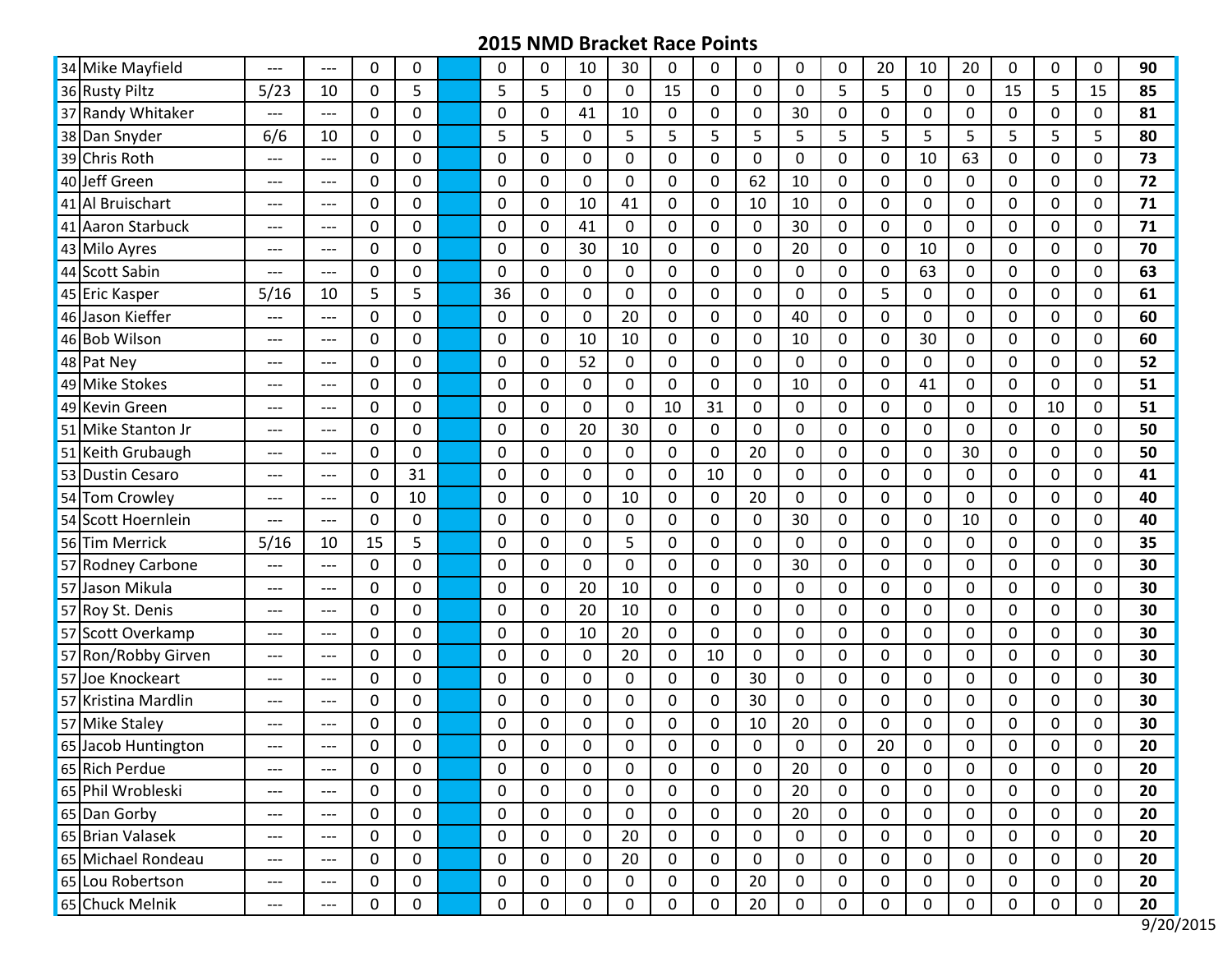| 34 Mike Mayfield    | $---$ | $---$                             | $\mathbf{0}$ | 0         | $\mathbf{0}$ | 0              | 10          | 30          | $\Omega$    | 0           | $\Omega$     | 0           | 0            | 20           | 10          | 20           | 0        | $\mathbf 0$ | $\Omega$ | 90 |
|---------------------|-------|-----------------------------------|--------------|-----------|--------------|----------------|-------------|-------------|-------------|-------------|--------------|-------------|--------------|--------------|-------------|--------------|----------|-------------|----------|----|
| 36 Rusty Piltz      | 5/23  | 10                                | $\mathbf{0}$ | 5         | 5            | 5              | 0           | $\mathbf 0$ | 15          | 0           | $\Omega$     | $\mathbf 0$ | 5            | 5            | 0           | $\mathbf 0$  | 15       | 5           | 15       | 85 |
| 37 Randy Whitaker   | $---$ | $---$                             | $\mathbf{0}$ | 0         | $\Omega$     | 0              | 41          | 10          | $\Omega$    | 0           | 0            | 30          | 0            | $\Omega$     | 0           | $\Omega$     | 0        | 0           | $\Omega$ | 81 |
| 38 Dan Snyder       | 6/6   | 10                                | $\mathbf{0}$ | 0         | 5            | 5              | 0           | 5           | 5           | 5           | 5            | 5           | 5            | 5            | 5           | 5            | 5        | 5           | 5        | 80 |
| 39 Chris Roth       | $---$ | $---$                             | 0            | 0         | $\Omega$     | 0              | 0           | $\mathbf 0$ | 0           | 0           | 0            | 0           | 0            | 0            | 10          | 63           | 0        | 0           | 0        | 73 |
| 40 Jeff Green       | $---$ | $---$                             | $\mathbf{0}$ | 0         | $\mathbf 0$  | $\mathbf 0$    | 0           | $\mathbf 0$ | 0           | 0           | 62           | 10          | $\mathbf 0$  | 0            | $\mathbf 0$ | $\mathbf 0$  | 0        | 0           | 0        | 72 |
| 41 Al Bruischart    | ---   | $---$                             | 0            | 0         | 0            | $\Omega$       | 10          | 41          | $\Omega$    | 0           | 10           | 10          | $\mathbf 0$  | $\Omega$     | 0           | $\mathbf 0$  | 0        | $\mathbf 0$ | $\Omega$ | 71 |
| 41 Aaron Starbuck   | ---   | $---$                             | $\mathbf{0}$ | 0         | $\Omega$     | 0              | 41          | $\mathbf 0$ | $\Omega$    | 0           | 0            | 30          | $\mathbf 0$  | $\Omega$     | 0           | $\Omega$     | 0        | 0           | $\Omega$ | 71 |
| 43 Milo Ayres       | ---   | $---$                             | $\mathbf{0}$ | 0         | $\Omega$     | $\Omega$       | 30          | 10          | 0           | 0           | $\mathbf{0}$ | 20          | $\mathbf 0$  | $\Omega$     | 10          | $\mathbf{0}$ | 0        | $\mathbf 0$ | $\Omega$ | 70 |
| 44 Scott Sabin      | ---   | $---$                             | $\mathbf{0}$ | 0         | $\Omega$     | $\Omega$       | 0           | $\mathbf 0$ | $\Omega$    | 0           | $\Omega$     | 0           | $\mathbf 0$  | $\Omega$     | 63          | $\Omega$     | 0        | $\Omega$    | $\Omega$ | 63 |
| 45 Eric Kasper      | 5/16  | 10                                | 5            | 5         | 36           | $\Omega$       | $\Omega$    | $\mathbf 0$ | 0           | 0           | $\Omega$     | $\mathbf 0$ | $\mathbf 0$  | 5            | $\mathbf 0$ | $\Omega$     | 0        | $\mathbf 0$ | $\Omega$ | 61 |
| 46 Jason Kieffer    | ---   | ---                               | 0            | $\pmb{0}$ | 0            | 0              | 0           | 20          | 0           | 0           | 0            | 40          | $\mathbf 0$  | 0            | 0           | 0            | 0        | $\mathbf 0$ | 0        | 60 |
| 46 Bob Wilson       | $---$ | $---$                             | $\mathbf{0}$ | 0         | 0            | 0              | 10          | 10          | 0           | 0           | 0            | 10          | $\pmb{0}$    | $\Omega$     | 30          | 0            | 0        | 0           | 0        | 60 |
| 48 Pat Nev          | $---$ | $---$                             | $\mathbf{0}$ | 0         | $\mathbf{0}$ | $\Omega$       | 52          | $\mathbf 0$ | $\Omega$    | 0           | $\Omega$     | 0           | $\mathbf 0$  | $\Omega$     | $\mathbf 0$ | $\Omega$     | 0        | $\mathbf 0$ | $\Omega$ | 52 |
| 49 Mike Stokes      | ---   | $---$                             | $\mathbf{0}$ | 0         | $\Omega$     | 0              | 0           | $\mathbf 0$ | $\Omega$    | 0           | 0            | 10          | 0            | $\Omega$     | 41          | $\Omega$     | 0        | 0           | $\Omega$ | 51 |
| 49 Kevin Green      | $---$ | $---$                             | $\mathbf{0}$ | 0         | $\Omega$     | $\Omega$       | $\Omega$    | $\mathbf 0$ | 10          | 31          | $\mathbf{0}$ | $\mathbf 0$ | $\mathbf 0$  | $\Omega$     | $\mathbf 0$ | $\Omega$     | 0        | 10          | $\Omega$ | 51 |
| 51 Mike Stanton Jr  | ---   | $---$                             | 0            | 0         | $\Omega$     | 0              | 20          | 30          | $\Omega$    | 0           | $\Omega$     | $\Omega$    | 0            | 0            | 0           | 0            | 0        | 0           | $\Omega$ | 50 |
| 51 Keith Grubaugh   | ---   | $---$                             | 0            | 0         | 0            | 0              | 0           | $\mathbf 0$ | 0           | 0           | 20           | 0           | 0            | 0            | 0           | 30           | 0        | 0           | 0        | 50 |
| 53 Dustin Cesaro    | ---   | $---$                             | 0            | 31        | 0            | 0              | 0           | $\mathbf 0$ | $\Omega$    | 10          | 0            | $\mathbf 0$ | $\mathbf 0$  | $\Omega$     | 0           | $\Omega$     | 0        | $\mathbf 0$ | $\Omega$ | 41 |
| 54 Tom Crowley      | ---   | $---$                             | $\mathbf{0}$ | 10        | $\Omega$     | $\Omega$       | 0           | 10          | $\Omega$    | 0           | 20           | 0           | 0            | $\Omega$     | $\mathbf 0$ | $\Omega$     | 0        | 0           | $\Omega$ | 40 |
| 54 Scott Hoernlein  | ---   | $---$                             | $\mathbf{0}$ | 0         | $\mathbf{0}$ | $\overline{0}$ | 0           | $\mathbf 0$ | 0           | 0           | $\mathbf{0}$ | 30          | $\mathbf 0$  | $\Omega$     | 0           | 10           | 0        | $\mathbf 0$ | $\Omega$ | 40 |
| 56 Tim Merrick      | 5/16  | 10                                | 15           | 5         | $\Omega$     | 0              | 0           | 5           | $\Omega$    | 0           | 0            | 0           | $\mathbf 0$  | $\Omega$     | 0           | $\Omega$     | 0        | 0           | $\Omega$ | 35 |
| 57 Rodney Carbone   | ---   | $---$                             | $\mathbf{0}$ | 0         | $\mathbf{0}$ | 0              | 0           | $\mathbf 0$ | $\Omega$    | 0           | 0            | 30          | $\mathbf 0$  | $\Omega$     | $\mathbf 0$ | $\Omega$     | 0        | $\mathbf 0$ | $\Omega$ | 30 |
| 57 Jason Mikula     | ---   | ---                               | 0            | 0         | 0            | 0              | 20          | 10          | $\Omega$    | 0           | 0            | 0           | 0            | 0            | 0           | 0            | 0        | 0           | 0        | 30 |
| 57 Roy St. Denis    | $---$ | $---$                             | 0            | 0         | 0            | $\Omega$       | 20          | 10          | 0           | 0           | 0            | $\mathbf 0$ | $\mathbf 0$  | $\Omega$     | 0           | $\mathbf 0$  | 0        | 0           | 0        | 30 |
| 57 Scott Overkamp   | $---$ | ---                               | $\mathbf{0}$ | 0         | 0            | $\mathbf 0$    | 10          | 20          | $\Omega$    | 0           | $\Omega$     | $\mathbf 0$ | $\mathbf 0$  | $\Omega$     | 0           | $\mathbf 0$  | 0        | $\mathbf 0$ | $\Omega$ | 30 |
| 57 Ron/Robby Girven | $---$ | $---$                             | $\mathbf{0}$ | 0         | $\Omega$     | 0              | 0           | 20          | 0           | 10          | $\Omega$     | $\Omega$    | $\mathbf 0$  | $\Omega$     | 0           | $\Omega$     | 0        | 0           | $\Omega$ | 30 |
| 57 Joe Knockeart    | $---$ | $---$                             | $\mathbf{0}$ | 0         | $\Omega$     | $\overline{0}$ | 0           | $\mathbf 0$ | 0           | 0           | 30           | $\mathbf 0$ | $\mathbf 0$  | $\Omega$     | 0           | $\mathbf{0}$ | 0        | $\mathbf 0$ | 0        | 30 |
| 57 Kristina Mardlin | $---$ | $---$                             | $\mathbf{0}$ | 0         | $\Omega$     | $\Omega$       | $\Omega$    | $\mathbf 0$ | $\Omega$    | 0           | 30           | $\Omega$    | $\mathbf 0$  | $\mathbf{0}$ | 0           | $\Omega$     | 0        | $\Omega$    | $\Omega$ | 30 |
| 57 Mike Staley      | ---   | ---                               | 0            | 0         | 0            | 0              | 0           | $\mathbf 0$ | 0           | 0           | 10           | 20          | 0            | 0            | 0           | $\Omega$     | 0        | 0           | 0        | 30 |
| 65 Jacob Huntington | ---   | ---                               | $\mathbf{0}$ | 0         | $\Omega$     | $\Omega$       | $\Omega$    | $\Omega$    | $\Omega$    | 0           | $\Omega$     | $\Omega$    | $\mathbf{0}$ | 20           | 0           | $\Omega$     | $\Omega$ | $\Omega$    | 0        | 20 |
| 65 Rich Perdue      | ---   | $---$                             | 0            | 0         | 0            | $\mathbf 0$    | 0           | $\mathbf 0$ | 0           | 0           | 0            | 20          | $\mathbf 0$  | 0            | 0           | $\mathbf 0$  | 0        | $\mathbf 0$ | 0        | 20 |
| 65 Phil Wrobleski   | $---$ | $---$                             | 0            | 0         | 0            | $\mathbf 0$    | $\mathbf 0$ | $\mathbf 0$ | $\mathbf 0$ | 0           | $\mathbf 0$  | 20          | $\pmb{0}$    | $\mathbf 0$  | $\pmb{0}$   | $\mathbf 0$  | 0        | $\mathbf 0$ | 0        | 20 |
| 65 Dan Gorby        | $---$ | $---$                             | 0            | 0         | $\mathbf 0$  | $\mathbf 0$    | $\mathbf 0$ | $\mathbf 0$ | 0           | 0           | 0            | 20          | $\mathbf 0$  | 0            | 0           | 0            | 0        | $\mathbf 0$ | 0        | 20 |
| 65 Brian Valasek    | $---$ | $---$                             | $\mathbf 0$  | 0         | $\pmb{0}$    | $\mathbf 0$    | 0           | 20          | 0           | $\mathbf 0$ | 0            | 0           | $\pmb{0}$    | 0            | 0           | 0            | 0        | $\pmb{0}$   | 0        | 20 |
| 65 Michael Rondeau  | ---   | $\hspace{0.05cm} \dashrightarrow$ | 0            | 0         | 0            | 0              | 0           | 20          | 0           | 0           | 0            | 0           | $\mathbf 0$  | 0            | 0           | 0            | 0        | 0           | 0        | 20 |
| 65 Lou Robertson    | ---   | $\qquad \qquad - -$               | 0            | 0         | 0            | $\mathbf 0$    | 0           | $\mathbf 0$ | 0           | 0           | 20           | 0           | $\mathbf 0$  | 0            | 0           | $\mathbf 0$  | 0        | 0           | 0        | 20 |
| 65 Chuck Melnik     | ---   | $\qquad \qquad \textbf{---}$      | $\mathbf 0$  | 0         | $\mathbf 0$  | 0              | 0           | 0           | 0           | 0           | 20           | 0           | $\mathbf 0$  | 0            | 0           | 0            | 0        | 0           | 0        | 20 |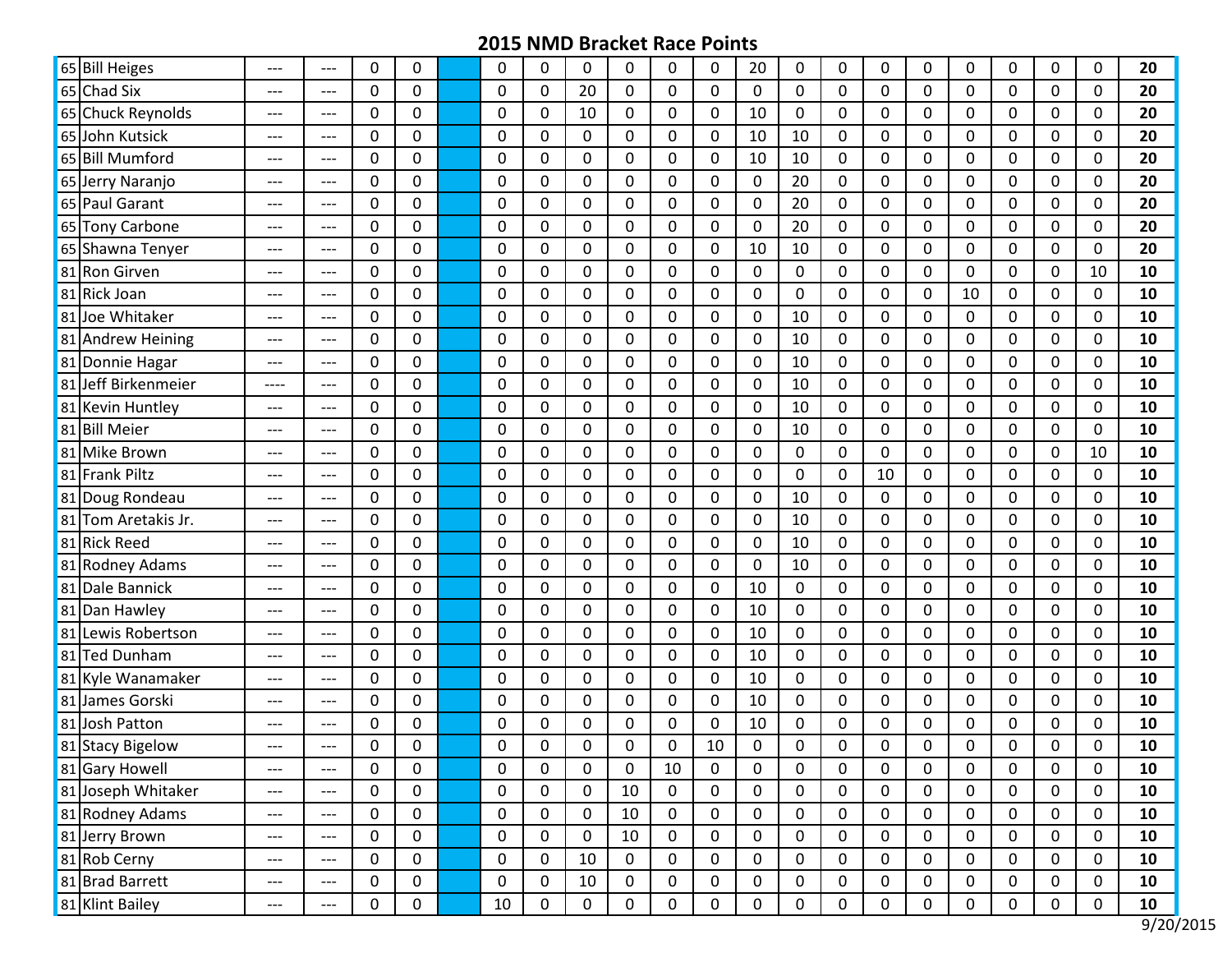| 65 Bill Heiges      | ---   | ---                                 | $\mathbf{0}$ | 0                | $\Omega$    | 0                | 0           | $\mathbf{0}$ | $\Omega$    | $\Omega$     | 20               | 0           | $\Omega$     | 0           | 0              | 0            | $\Omega$     | $\Omega$    | $\Omega$    | 20 |
|---------------------|-------|-------------------------------------|--------------|------------------|-------------|------------------|-------------|--------------|-------------|--------------|------------------|-------------|--------------|-------------|----------------|--------------|--------------|-------------|-------------|----|
| 65 Chad Six         | $---$ | $---$                               | $\mathbf 0$  | 0                | $\mathbf 0$ | $\Omega$         | 20          | $\mathbf 0$  | $\mathbf 0$ | 0            | $\mathbf 0$      | $\mathbf 0$ | $\mathbf 0$  | $\mathbf 0$ | $\overline{0}$ | 0            | $\mathbf{0}$ | $\mathbf 0$ | $\Omega$    | 20 |
| 65 Chuck Reynolds   | $---$ | $---$                               | 0            | 0                | 0           | $\Omega$         | 10          | $\mathbf 0$  | $\mathbf 0$ | 0            | 10               | 0           | $\Omega$     | 0           | 0              | 0            | 0            | 0           | $\Omega$    | 20 |
| 65 John Kutsick     | $---$ | $---$                               | $\mathbf{0}$ | 0                | 0           | 0                | $\mathbf 0$ | 0            | $\mathbf 0$ | 0            | 10               | 10          | $\mathbf 0$  | $\Omega$    | $\mathbf 0$    | 0            | 0            | 0           | $\Omega$    | 20 |
| 65 Bill Mumford     | ---   | ---                                 | 0            | 0                | 0           | $\mathbf{0}$     | 0           | $\mathbf 0$  | $\mathbf 0$ | 0            | 10               | 10          | $\mathbf 0$  | 0           | 0              | $\mathbf{0}$ | 0            | 0           | 0           | 20 |
| 65 Jerry Naranjo    | $---$ | $---$                               | 0            | 0                | 0           | $\Omega$         | 0           | $\mathbf 0$  | 0           | 0            | 0                | 20          | 0            | 0           | 0              | 0            | 0            | 0           | $\Omega$    | 20 |
| 65 Paul Garant      | $---$ | $---$                               | $\mathbf{0}$ | 0                | $\Omega$    | $\mathbf{0}$     | $\Omega$    | $\mathbf 0$  | $\mathbf 0$ | 0            | $\mathbf 0$      | 20          | $\mathbf 0$  | $\Omega$    | $\mathbf 0$    | 0            | $\Omega$     | $\Omega$    | $\Omega$    | 20 |
| 65 Tony Carbone     | ---   | $---$                               | $\mathbf{0}$ | 0                | $\Omega$    | $\Omega$         | 0           | $\mathbf 0$  | $\mathbf 0$ | 0            | $\Omega$         | 20          | $\Omega$     | $\Omega$    | 0              | 0            | 0            | 0           | $\Omega$    | 20 |
| 65 Shawna Tenyer    | $---$ | $---$                               | $\mathbf{0}$ | 0                | $\Omega$    | $\Omega$         | $\Omega$    | $\mathbf 0$  | $\mathbf 0$ | 0            | 10               | 10          | $\mathbf 0$  | $\Omega$    | $\mathbf{0}$   | 0            | 0            | $\mathbf 0$ | $\Omega$    | 20 |
| 81 Ron Girven       | ---   | $---$                               | 0            | 0                | $\Omega$    | $\Omega$         | 0           | $\mathbf 0$  | $\Omega$    | 0            | $\Omega$         | 0           | 0            | 0           | 0              | 0            | 0            | $\Omega$    | 10          | 10 |
| 81 Rick Joan        | $---$ | $---$                               | 0            | 0                | 0           | $\Omega$         | $\mathbf 0$ | $\mathbf 0$  | $\mathbf 0$ | 0            | $\Omega$         | 0           | 0            | 0           | $\mathbf 0$    | 10           | 0            | 0           | 0           | 10 |
| 81 Joe Whitaker     | ---   | $---$                               | 0            | 0                | 0           | $\mathbf{0}$     | $\mathbf 0$ | 0            | $\mathbf 0$ | 0            | 0                | 10          | $\mathbf 0$  | 0           | 0              | 0            | 0            | 0           | $\Omega$    | 10 |
| 81 Andrew Heining   | $---$ | $---$                               | $\mathbf{0}$ | 0                | $\Omega$    | $\mathbf{0}$     | 0           | 0            | $\Omega$    | 0            | 0                | 10          | 0            | $\Omega$    | 0              | $\mathbf{0}$ | 0            | 0           | $\Omega$    | 10 |
| 81 Donnie Hagar     | ---   | $---$                               | $\mathbf{0}$ | 0                | $\Omega$    | $\mathbf{0}$     | $\mathbf 0$ | $\mathbf 0$  | $\mathbf 0$ | 0            | $\Omega$         | 10          | $\mathbf 0$  | $\Omega$    | 0              | 0            | 0            | $\mathbf 0$ | $\Omega$    | 10 |
| 81 Jeff Birkenmeier | ----  | $---$                               | $\mathbf 0$  | 0                | $\Omega$    | 0                | 0           | $\mathbf 0$  | 0           | 0            | 0                | 10          | $\Omega$     | $\Omega$    | 0              | 0            | 0            | $\Omega$    | $\Omega$    | 10 |
| 81 Kevin Huntley    | $---$ | $---$                               | $\mathbf{0}$ | 0                | $\mathbf 0$ | $\mathbf{0}$     | $\mathbf 0$ | $\mathbf 0$  | $\mathbf 0$ | 0            | $\mathbf 0$      | 10          | $\mathbf 0$  | $\mathbf 0$ | $\mathbf 0$    | 0            | $\mathbf 0$  | $\mathbf 0$ | $\Omega$    | 10 |
| 81 Bill Meier       | ---   | $---$                               | 0            | 0                | 0           | $\mathbf{0}$     | 0           | 0            | 0           | 0            | $\Omega$         | 10          | 0            | 0           | 0              | 0            | 0            | 0           | 0           | 10 |
| 81 Mike Brown       | $---$ | ---                                 | 0            | 0                | $\mathbf 0$ | 0                | $\mathbf 0$ | $\mathbf 0$  | 0           | 0            | 0                | 0           | 0            | 0           | $\mathbf 0$    | $\mathbf{0}$ | $\mathbf 0$  | 0           | 10          | 10 |
| 81 Frank Piltz      | $---$ | $---$                               | $\mathbf{0}$ | 0                | $\Omega$    | $\mathbf 0$      | $\mathbf 0$ | $\mathbf 0$  | $\mathbf 0$ | 0            | $\mathbf{0}$     | $\mathbf 0$ | $\mathbf 0$  | 10          | 0              | 0            | 0            | $\mathbf 0$ | $\Omega$    | 10 |
| 81 Doug Rondeau     | ---   | $---$                               | $\mathbf{0}$ | 0                | $\Omega$    | $\Omega$         | 0           | 0            | $\Omega$    | 0            | 0                | 10          | $\Omega$     | $\Omega$    | 0              | 0            | 0            | $\Omega$    | 0           | 10 |
| 81 Tom Aretakis Jr. | $---$ | $---$                               | $\mathbf 0$  | 0                | $\mathbf 0$ | $\mathbf 0$      | $\mathbf 0$ | $\mathbf 0$  | 0           | 0            | $\Omega$         | 10          | $\mathbf{0}$ | $\Omega$    | $\mathbf 0$    | 0            | $\mathbf{0}$ | $\mathbf 0$ | $\Omega$    | 10 |
| 81 Rick Reed        | ---   | $\hspace{0.05cm}---\hspace{0.05cm}$ | $\mathbf{0}$ | 0                | $\Omega$    | $\Omega$         | 0           | $\mathbf 0$  | $\mathbf 0$ | 0            | $\Omega$         | 10          | $\Omega$     | 0           | 0              | 0            | 0            | 0           | $\Omega$    | 10 |
| 81 Rodney Adams     | ---   | ---                                 | 0            | 0                | 0           | $\Omega$         | $\mathbf 0$ | $\mathbf 0$  | $\mathbf 0$ | 0            | 0                | 10          | $\mathbf 0$  | 0           | $\mathbf 0$    | $\mathbf{0}$ | 0            | 0           | 0           | 10 |
| 81 Dale Bannick     | $---$ | ---                                 | 0            | $\mathbf 0$      | 0           | $\mathbf{0}$     | $\mathbf 0$ | $\mathbf 0$  | $\mathbf 0$ | 0            | 10               | $\mathbf 0$ | $\mathbf 0$  | 0           | 0              | $\mathbf{0}$ | 0            | 0           | 0           | 10 |
| 81 Dan Hawley       | $---$ | $---$                               | 0            | 0                | 0           | $\Omega$         | 0           | $\mathbf 0$  | 0           | 0            | 10               | 0           | $\mathbf 0$  | 0           | 0              | 0            | 0            | 0           | $\Omega$    | 10 |
| 81 Lewis Robertson  | $---$ | $---$                               | $\mathbf{0}$ | 0                | $\Omega$    | $\Omega$         | $\mathbf 0$ | 0            | $\mathbf 0$ | 0            | 10               | $\mathbf 0$ | $\mathbf 0$  | $\Omega$    | $\mathbf 0$    | 0            | $\Omega$     | $\mathbf 0$ | $\Omega$    | 10 |
| 81 Ted Dunham       | ---   | $---$                               | $\mathbf{0}$ | 0                | 0           | $\Omega$         | 0           | $\mathbf 0$  | $\mathbf 0$ | 0            | 10               | 0           | $\Omega$     | $\Omega$    | 0              | 0            | 0            | 0           | $\Omega$    | 10 |
| 81 Kyle Wanamaker   | ---   | ---                                 | $\mathbf 0$  | 0                | $\mathbf 0$ | 0                | $\mathbf 0$ | $\mathbf 0$  | $\mathbf 0$ | 0            | 10               | $\mathbf 0$ | $\mathbf 0$  | $\mathbf 0$ | $\mathbf 0$    | 0            | 0            | $\mathbf 0$ | $\Omega$    | 10 |
| 81 James Gorski     | $---$ | $---$                               | $\mathbf{0}$ | 0                | $\Omega$    | $\Omega$         | 0           | 0            | $\Omega$    | 0            | 10               | 0           | 0            | $\Omega$    | 0              | 0            | 0            | $\Omega$    | $\Omega$    | 10 |
| 81 Josh Patton      | $---$ | ---                                 | 0            | 0                | 0           | $\Omega$         | $\pmb{0}$   | 0            | 0           | 0            | 10               | 0           | 0            | 0           | 0              | $\mathbf{0}$ | 0            | 0           | 0           | 10 |
| 81 Stacy Bigelow    | ---   | ---                                 | $\Omega$     | 0                | 0           | $\mathbf{0}$     | 0           | $\Omega$     | 0           | 10           | $\Omega$         | 0           | $\mathbf 0$  | 0           | 0              | 0            | $\Omega$     | $\Omega$    | $\Omega$    | 10 |
| 81 Gary Howell      | $---$ | $\hspace{0.05cm}---\hspace{0.05cm}$ | $\mathbf 0$  | 0                | $\mathbf 0$ | 0                | 0           | $\mathbf 0$  | 10          | 0            | 0                | 0           | 0            | 0           | 0              | 0            | 0            | 0           | 0           | 10 |
| 81 Joseph Whitaker  | $---$ | $\hspace{0.05cm}---\hspace{0.05cm}$ | $\mathbf 0$  | $\pmb{0}$        | $\mathbf 0$ | $\mathbf 0$      | $\pmb{0}$   | 10           | $\mathbf 0$ | $\mathbf 0$  | $\mathbf 0$      | $\pmb{0}$   | $\mathbf 0$  | $\mathbf 0$ | $\mathbf 0$    | $\mathbf 0$  | 0            | $\mathbf 0$ | $\mathbf 0$ | 10 |
| 81 Rodney Adams     | ---   | $\hspace{0.05cm}---\hspace{0.05cm}$ | $\mathbf 0$  | 0                | 0           | $\mathbf 0$      | 0           | 10           | 0           | 0            | 0                | 0           | $\mathbf 0$  | 0           | 0              | 0            | 0            | 0           | 0           | 10 |
| 81 Jerry Brown      | ---   | $\hspace{0.05cm} \ldots$            | $\mathbf 0$  | $\pmb{0}$        | $\mathbf 0$ | $\boldsymbol{0}$ | $\pmb{0}$   | 10           | $\mathbf 0$ | $\mathbf 0$  | $\mathbf 0$      | $\mathbf 0$ | 0            | $\mathbf 0$ | $\mathbf 0$    | $\mathbf 0$  | $\mathbf 0$  | $\mathbf 0$ | 0           | 10 |
| 81 Rob Cerny        | $---$ | $\hspace{0.05cm} \ldots$            | 0            | 0                | 0           | 0                | 10          | 0            | 0           | 0            | 0                | 0           | 0            | 0           | 0              | 0            | 0            | 0           | 0           | 10 |
| 81 Brad Barrett     | $---$ | $\hspace{0.05cm}---$                | $\mathbf 0$  | 0                | 0           | 0                | 10          | $\mathbf 0$  | $\mathbf 0$ | $\mathbf{0}$ | $\mathbf 0$      | $\pmb{0}$   | $\mathbf 0$  | 0           | $\mathbf 0$    | $\mathbf{0}$ | $\mathbf 0$  | 0           | 0           | 10 |
| 81 Klint Bailey     | $---$ | $\hspace{0.05cm}---\hspace{0.05cm}$ | $\mathbf 0$  | $\boldsymbol{0}$ | 10          | $\mathbf 0$      | $\pmb{0}$   | $\mathbf 0$  | 0           | $\mathbf 0$  | $\boldsymbol{0}$ | $\pmb{0}$   | $\pmb{0}$    | 0           | $\pmb{0}$      | 0            | $\mathbf 0$  | 0           | 0           | 10 |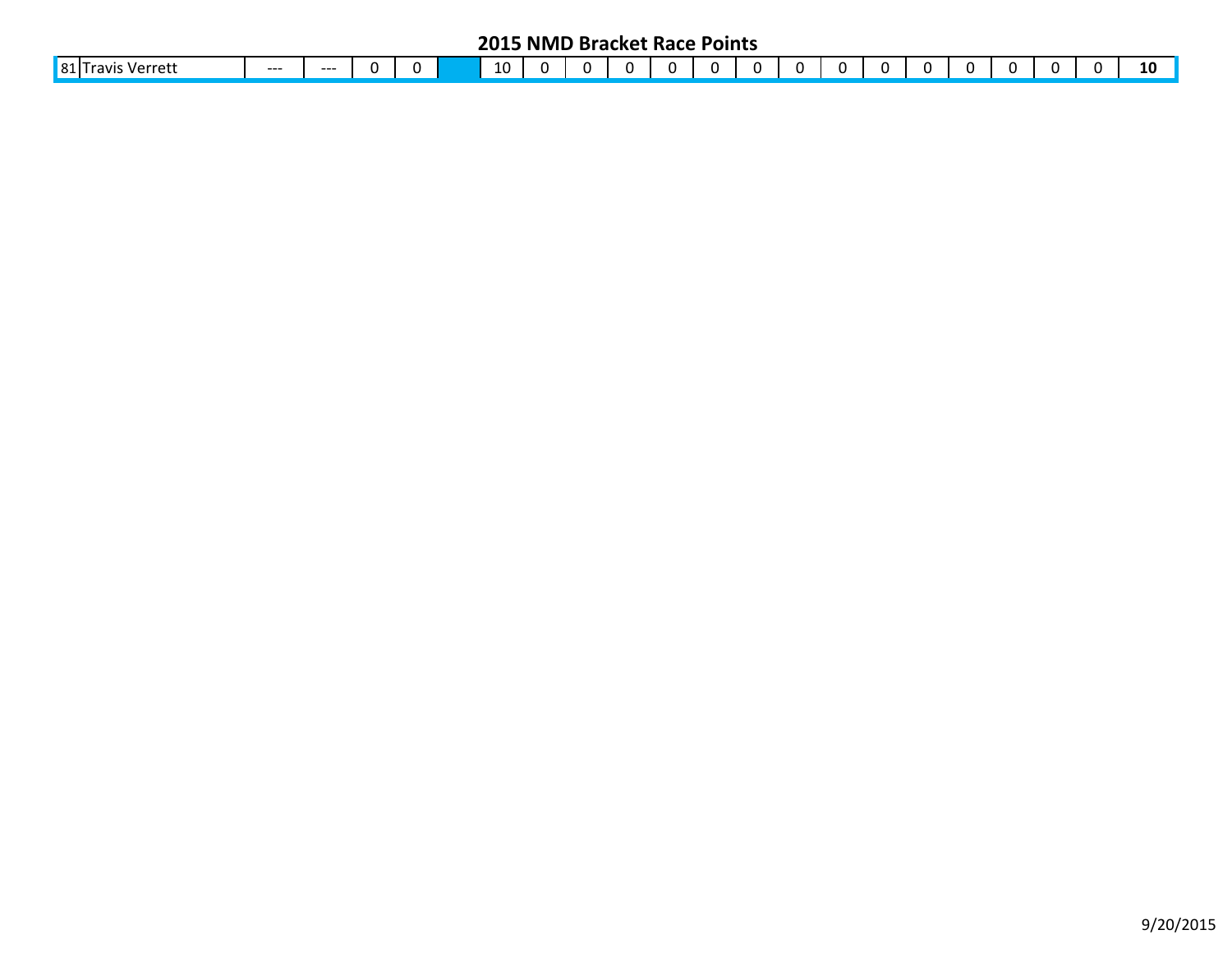| $ 81 $ Tr<br>10<br>$\sim$<br>⌒<br>`ravı.<br>Verreti<br>$--$<br>---<br>. .<br>. .<br>. . | . . |  | 10 |
|-----------------------------------------------------------------------------------------|-----|--|----|
|-----------------------------------------------------------------------------------------|-----|--|----|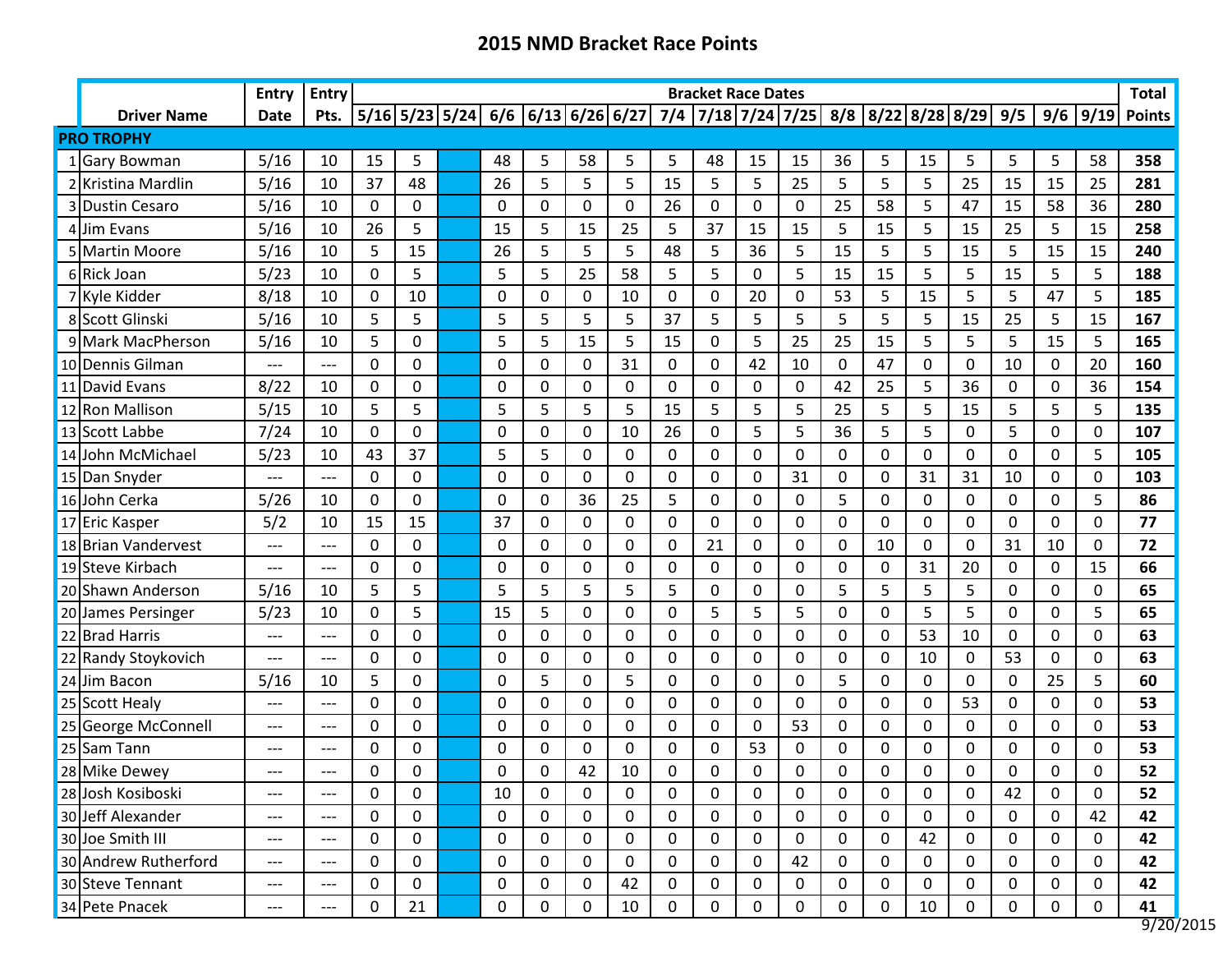|                      | <b>Entry</b>         | <b>Entry</b> |               |               |               |               |             |                                     |        | <b>Bracket Race Dates</b> |                  |               |             |               |                                           |              |                |           |              | <b>Total</b>  |
|----------------------|----------------------|--------------|---------------|---------------|---------------|---------------|-------------|-------------------------------------|--------|---------------------------|------------------|---------------|-------------|---------------|-------------------------------------------|--------------|----------------|-----------|--------------|---------------|
| <b>Driver Name</b>   | Date                 | Pts.         |               |               |               |               |             | 5/16 5/23 5/24  6/6  6/13 6/26 6/27 |        |                           |                  |               |             |               | 7/4 7/18 7/24 7/25 8/8 8/22 8/28 8/29 9/5 |              |                |           | $9/6$ 9/19   | <b>Points</b> |
| <b>PRO TROPHY</b>    |                      |              |               |               |               |               |             |                                     |        |                           |                  |               |             |               |                                           |              |                |           |              |               |
| 1 Gary Bowman        | 5/16                 | 10           | 15            | 5             | 48            | 5             | 58          | 5                                   | 5      | 48                        | 15               | 15            | 36          | 5             | 15                                        | 5            | 5              | 5         | 58           | 358           |
| 2 Kristina Mardlin   | 5/16                 | 10           | 37            | 48            | 26            | 5             | 5           | 5                                   | 15     | 5                         | 5                | 25            | 5           | 5             | 5                                         | 25           | 15             | 15        | 25           | 281           |
| 3 Dustin Cesaro      | 5/16                 | 10           | 0             | 0             | 0             | 0             | 0           | 0                                   | 26     | 0                         | 0                | 0             | 25          | 58            | 5                                         | 47           | 15             | 58        | 36           | 280           |
| 4 Jim Evans          | 5/16                 | 10           | 26            | 5             | 15            | 5             | 15          | 25                                  | 5      | 37                        | 15               | 15            | 5           | 15            | 5                                         | 15           | 25             | 5         | 15           | 258           |
| 5 Martin Moore       | 5/16                 | 10           | 5             | 15            | 26            | 5             | 5           | 5                                   | 48     | 5                         | 36               | 5             | 15          | 5             | 5                                         | 15           | 5              | 15        | 15           | 240           |
| 6 Rick Joan          | 5/23                 | 10           | $\Omega$      | 5             | 5             | 5             | 25          | 58                                  | 5      | 5                         | 0                | 5             | 15          | 15            | 5                                         | 5            | 15             | 5         | 5            | 188           |
| 7 Kyle Kidder        | 8/18                 | 10           | $\mathbf 0$   | 10            | 0             | 0             | $\mathbf 0$ | 10                                  | 0      | $\mathbf 0$               | 20               | 0             | 53          | 5             | 15                                        | 5            | 5              | 47        | 5            | 185           |
| 8 Scott Glinski      | 5/16                 | 10           | 5             | 5             | 5             | 5             | 5           | 5                                   | 37     | 5                         | 5                | 5             | 5           | 5             | 5                                         | 15           | 25             | 5         | 15           | 167           |
| 9 Mark MacPherson    | 5/16                 | 10           | 5             | 0             | 5             | 5             | 15          | 5                                   | 15     | $\mathbf 0$               | 5                | 25            | 25          | 15            | 5                                         | 5            | 5              | 15        | 5            | 165           |
| 10 Dennis Gilman     | ---                  | ---          | 0             | 0             | 0             | 0             | 0           | 31                                  | 0      | 0                         | 42               | 10            | $\mathbf 0$ | 47            | 0                                         | 0            | 10             | 0         | 20           | 160           |
| 11 David Evans       | 8/22                 | 10           | $\Omega$      | 0             | $\Omega$      | 0             | 0           | 0                                   | 0      | 0                         | 0                | 0             | 42          | 25            | 5                                         | 36           | 0              | 0         | 36           | 154           |
| 12 Ron Mallison      | 5/15                 | 10           | 5             | 5             | 5             | 5             | 5           | 5                                   | 15     | 5                         | 5                | 5             | 25          | 5             | 5                                         | 15           | 5              | 5         | 5            | 135           |
| 13 Scott Labbe       | 7/24                 | 10           | $\mathbf 0$   | 0             | 0             | 0             | $\mathbf 0$ | 10                                  | 26     | $\mathbf 0$               | 5                | 5             | 36          | 5             | 5                                         | 0            | 5              | 0         | $\mathbf 0$  | 107           |
| 14 John McMichael    | 5/23                 | 10           | 43            | 37            | 5             | 5             | $\mathbf 0$ | 0                                   | 0      | $\mathbf 0$               | 0                | 0             | $\mathbf 0$ | 0             | 0                                         | $\mathbf 0$  | $\overline{0}$ | 0         | 5            | 105           |
| 15 Dan Snyder        | ---                  | ---          | 0             | 0             | 0             | 0             | 0           | 0                                   | 0      | 0                         | 0                | 31            | $\mathbf 0$ | 0             | 31                                        | 31           | 10             | 0         | 0            | 103           |
| 16 John Cerka        | 5/26                 | 10           | $\Omega$      | 0             | 0             | 0             | 36          | 25                                  | 5      | 0                         | 0                | 0             | 5           | 0             | 0                                         | 0            | 0              | 0         | 5            | 86            |
| 17 Eric Kasper       | 5/2                  | 10           | 15            | 15            | 37            | 0             | $\mathbf 0$ | 0                                   | 0      | 0                         | 0                | 0             | $\mathbf 0$ | 0             | 0                                         | 0            | 0              | 0         | $\Omega$     | 77            |
| 18 Brian Vandervest  | $---$                | $---$        | $\Omega$      | 0             | $\Omega$      | 0             | $\Omega$    | 0                                   | 0      | 21                        | $\Omega$         | 0             | 0           | 10            | 0                                         | $\Omega$     | 31             | 10        | $\mathbf{0}$ | 72            |
| 19 Steve Kirbach     | ---                  | ---          | $\Omega$      | 0             | 0             | 0             | $\mathbf 0$ | 0                                   | 0      | $\mathbf 0$               | $\Omega$         | 0             | $\mathbf 0$ | $\mathbf 0$   | 31                                        | 20           | 0              | 0         | 15           | 66            |
| 20 Shawn Anderson    | 5/16                 | 10           | 5             | 5             | 5             | 5             | 5           | 5                                   | 5      | $\Omega$                  | $\Omega$         | 0             | 5           | 5             | 5                                         | 5            | $\Omega$       | 0         | $\mathbf{0}$ | 65            |
| 20 James Persinger   | 5/23                 | 10           | $\Omega$      | 5             | 15            | 5             | $\mathbf 0$ | 0                                   | 0      | 5                         | 5                | 5             | 0           | 0             | 5                                         | 5            | 0              | 0         | 5            | 65            |
| 22 Brad Harris       | ---                  | ---          | 0             | 0             | 0             | 0             | 0           | 0                                   | 0      | 0                         | 0                | 0             | 0           | 0             | 53                                        | 10           | 0              | 0         | 0            | 63            |
| 22 Randy Stoykovich  | ---                  | ---          | 0             | 0             | 0             | 0             | 0           | 0                                   | 0      | 0                         | 0                | 0             | 0           | 0             | 10                                        | 0            | 53             | 0         | 0            | 63            |
| 24 Jim Bacon         | 5/16                 | 10           | 5             | 0             | $\Omega$      | 5             | $\mathbf 0$ | 5                                   | 0      | $\Omega$                  | $\Omega$         | 0             | 5           | 0             | 0                                         | $\mathbf{0}$ | $\Omega$       | 25        | 5            | 60            |
| 25 Scott Healy       | $---$                | ---          | 0             | 0             | 0             | 0             | $\Omega$    | 0                                   | 0      | 0                         | 0                | 0             | 0           | 0             | 0                                         | 53           | 0              | 0         | $\mathbf 0$  | 53            |
| 25 George McConnell  | ---                  | ---          | $\Omega$      | 0             | $\Omega$      | 0             | $\Omega$    | 0                                   | 0      | 0                         | $\Omega$         | 53            | 0           | 0             | 0                                         | 0            | $\Omega$       | 0         | $\Omega$     | 53            |
| 25 Sam Tann          | $---$                | ---          | 0             | 0             | 0             | 0             | 0           | 0                                   | 0      | 0                         | 53               | 0             | 0           | 0             | 0                                         | 0            | 0              | 0         | 0            | 53            |
| 28 Mike Dewey        |                      |              | $\Omega$<br>v | $\Omega$<br>v | $\Omega$<br>◡ | $\Omega$<br>◡ | 17<br>44    | $10\,$                              | U<br>v | U<br>v                    | $\Omega$<br>◡    | $\Omega$<br>v | $\Omega$    | $\Omega$<br>v | <sup>n</sup><br>v                         | $\Omega$     | $\Omega$<br>v  | U<br>v    | U<br>v       | 52<br>JL      |
| 28 Josh Kosiboski    | ---                  | $---$        | 0             | 0             | 10            | $\pmb{0}$     | $\mathbf 0$ | 0                                   | 0      | 0                         | 0                | $\mathbf 0$   | $\mathbf 0$ | 0             | 0                                         | 0            | 42             | $\pmb{0}$ | $\mathbf 0$  | 52            |
| 30 Jeff Alexander    | $\hspace{0.05cm}---$ | ---          | 0             | 0             | 0             | $\pmb{0}$     | $\mathbf 0$ | 0                                   | 0      | 0                         | 0                | 0             | $\mathbf 0$ | 0             | 0                                         | 0            | 0              | 0         | 42           | 42            |
| 30 Joe Smith III     | $---$                | ---          | 0             | 0             | 0             | $\mathbf 0$   | 0           | 0                                   | 0      | 0                         | 0                | 0             | $\mathbf 0$ | 0             | 42                                        | 0            | $\mathbf 0$    | 0         | $\mathbf 0$  | 42            |
| 30 Andrew Rutherford | $---$                | $---$        | 0             | 0             | 0             | 0             | 0           | 0                                   | 0      | 0                         | 0                | 42            | 0           | 0             | 0                                         | 0            | 0              | 0         | $\mathbf 0$  | 42            |
| 30 Steve Tennant     | $---$                | ---          | 0             | 0             | $\pmb{0}$     | $\mathbf 0$   | $\mathbf 0$ | 42                                  | 0      | 0                         | $\boldsymbol{0}$ | 0             | $\mathbf 0$ | 0             | 0                                         | $\mathbf 0$  | $\pmb{0}$      | 0         | $\mathbf 0$  | 42            |
| 34 Pete Pnacek       | ---                  | ---          | 0             | 21            | 0             | 0             | 0           | 10                                  | 0      | 0                         | 0                | 0             | 0           | 0             | 10                                        | 0            | 0              | 0         | 0            | 41            |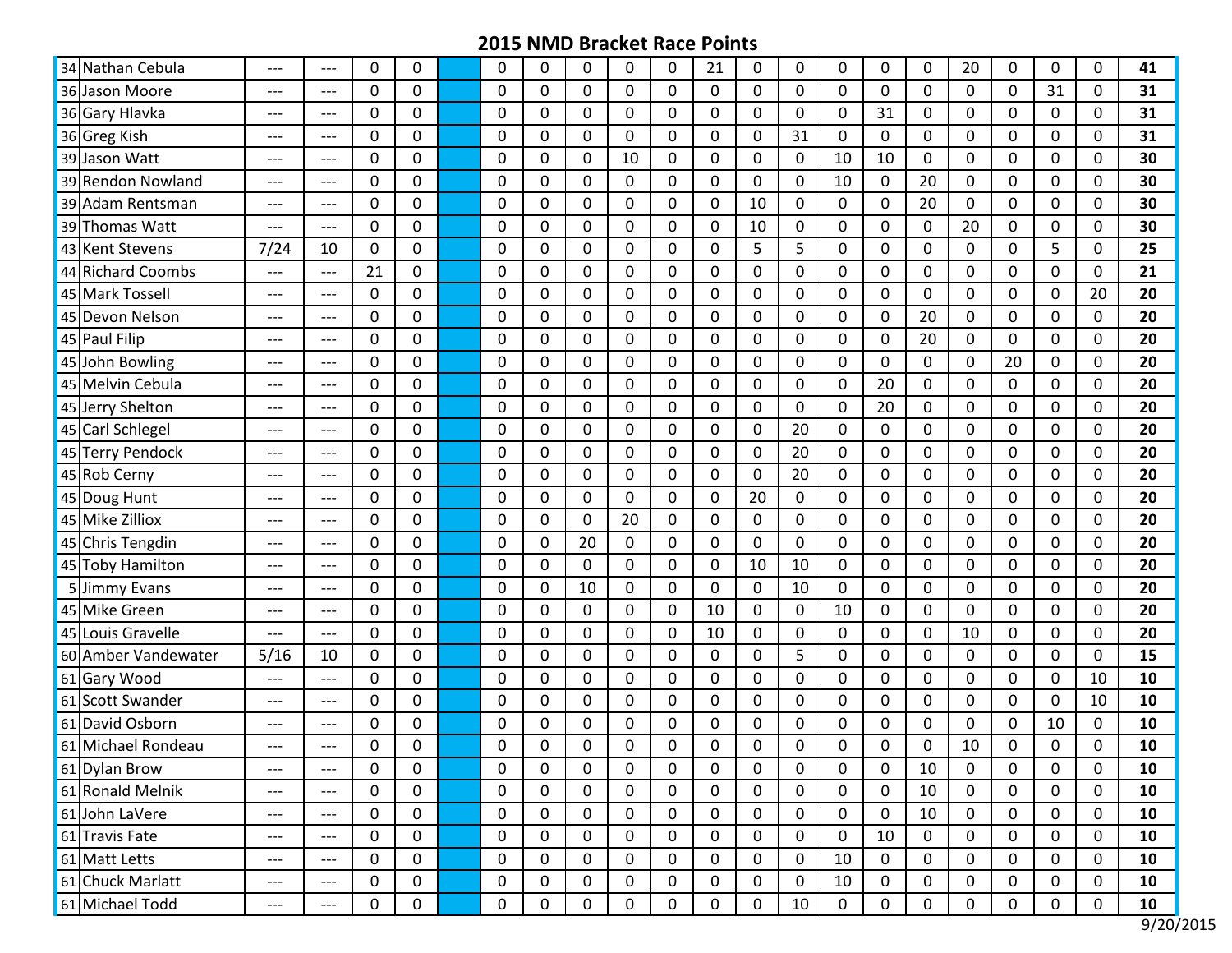| 34 Nathan Cebula    | $---$                               | $---$                               | $\Omega$     | 0           | $\Omega$    | 0            | 0           | 0           | $\Omega$    | 21          | 0           | $\Omega$    | $\Omega$     | 0            | $\mathbf 0$ | 20             | 0  | $\Omega$    | 0            | 41 |
|---------------------|-------------------------------------|-------------------------------------|--------------|-------------|-------------|--------------|-------------|-------------|-------------|-------------|-------------|-------------|--------------|--------------|-------------|----------------|----|-------------|--------------|----|
| 36 Jason Moore      | ---                                 | ---                                 | $\Omega$     | 0           | 0           | 0            | $\mathbf 0$ | $\mathbf 0$ | $\mathbf 0$ | 0           | $\Omega$    | 0           | $\Omega$     | $\Omega$     | $\mathbf 0$ | $\Omega$       | 0  | 31          | 0            | 31 |
| 36 Gary Hlavka      | $---$                               | $---$                               | 0            | 0           | 0           | $\Omega$     | 0           | 0           | 0           | 0           | 0           | 0           | 0            | 31           | 0           | $\mathbf 0$    | 0  | 0           | $\Omega$     | 31 |
| 36 Greg Kish        | ---                                 | $---$                               | 0            | 0           | 0           | $\Omega$     | $\mathbf 0$ | $\mathbf 0$ | $\mathbf 0$ | 0           | 0           | 31          | 0            | $\mathbf 0$  | 0           | 0              | 0  | 0           | 0            | 31 |
| 39 Jason Watt       | ---                                 | ---                                 | $\Omega$     | 0           | 0           | $\mathbf{0}$ | 0           | 10          | $\Omega$    | 0           | $\Omega$    | 0           | 10           | 10           | 0           | 0              | 0  | 0           | 0            | 30 |
| 39 Rendon Nowland   | $---$                               | $---$                               | $\Omega$     | 0           | 0           | $\Omega$     | 0           | 0           | $\Omega$    | 0           | 0           | 0           | 10           | $\mathbf{0}$ | 20          | $\Omega$       | 0  | 0           | $\Omega$     | 30 |
| 39 Adam Rentsman    | ---                                 | $---$                               | $\Omega$     | 0           | $\Omega$    | $\mathbf 0$  | $\mathbf 0$ | $\mathbf 0$ | $\mathbf 0$ | 0           | 10          | $\mathbf 0$ | $\mathbf 0$  | $\mathbf 0$  | 20          | $\mathbf{0}$   | 0  | $\mathbf 0$ | $\Omega$     | 30 |
| 39 Thomas Watt      | ---                                 | $---$                               | $\Omega$     | 0           | 0           | 0            | $\Omega$    | 0           | $\Omega$    | 0           | 10          | 0           | 0            | $\Omega$     | $\mathbf 0$ | 20             | 0  | 0           | $\Omega$     | 30 |
| 43 Kent Stevens     | 7/24                                | 10                                  | $\mathbf{0}$ | 0           | 0           | $\Omega$     | $\mathbf 0$ | $\mathbf 0$ | $\mathbf 0$ | 0           | 5           | 5           | $\mathbf 0$  | $\mathbf 0$  | $\mathbf 0$ | $\Omega$       | 0  | 5           | $\mathbf 0$  | 25 |
| 44 Richard Coombs   | $---$                               | $---$                               | 21           | 0           | 0           | $\mathbf{0}$ | 0           | 0           | 0           | 0           | $\Omega$    | 0           | 0            | 0            | $\pmb{0}$   | 0              | 0  | $\mathbf 0$ | 0            | 21 |
| 45 Mark Tossell     | ---                                 | ---                                 | 0            | 0           | 0           | $\Omega$     | $\mathbf 0$ | $\mathbf 0$ | $\mathbf 0$ | 0           | 0           | 0           | $\mathbf 0$  | $\Omega$     | 0           | $\mathbf 0$    | 0  | 0           | 20           | 20 |
| 45 Devon Nelson     | $---$                               | $---$                               | $\Omega$     | 0           | 0           | $\mathbf 0$  | $\mathbf 0$ | $\mathbf 0$ | $\mathbf 0$ | 0           | $\Omega$    | $\mathbf 0$ | $\mathbf 0$  | $\Omega$     | 20          | $\mathbf{0}$   | 0  | $\mathbf 0$ | $\mathbf{0}$ | 20 |
| 45 Paul Filip       | $---$                               | $---$                               | $\Omega$     | 0           | 0           | $\Omega$     | 0           | 0           | $\Omega$    | 0           | 0           | 0           | 0            | $\Omega$     | 20          | $\Omega$       | 0  | 0           | 0            | 20 |
| 45 John Bowling     | $---$                               | ---                                 | $\Omega$     | 0           | 0           | $\Omega$     | $\mathbf 0$ | $\mathbf 0$ | $\mathbf 0$ | 0           | $\Omega$    | $\mathbf 0$ | $\Omega$     | $\Omega$     | 0           | $\mathbf{0}$   | 20 | $\mathbf 0$ | 0            | 20 |
| 45 Melvin Cebula    | $---$                               | $---$                               | $\Omega$     | 0           | $\Omega$    | $\Omega$     | 0           | $\mathbf 0$ | $\Omega$    | 0           | 0           | 0           | $\mathbf{0}$ | 20           | $\mathbf 0$ | $\Omega$       | 0  | $\Omega$    | $\Omega$     | 20 |
| 45 Jerry Shelton    | $---$                               | $---$                               | 0            | 0           | 0           | $\Omega$     | 0           | $\mathbf 0$ | $\mathbf 0$ | 0           | $\Omega$    | $\mathbf 0$ | 0            | 20           | 0           | $\Omega$       | 0  | 0           | 0            | 20 |
| 45 Carl Schlegel    | $---$                               | $---$                               | 0            | 0           | 0           | $\Omega$     | $\mathbf 0$ | $\mathbf 0$ | $\mathbf 0$ | 0           | 0           | 20          | $\mathbf 0$  | 0            | 0           | $\mathbf 0$    | 0  | $\mathbf 0$ | 0            | 20 |
| 45 Terry Pendock    | $---$                               | $---$                               | 0            | 0           | 0           | 0            | 0           | 0           | 0           | 0           | 0           | 20          | 0            | 0            | 0           | 0              | 0  | 0           | 0            | 20 |
| 45 Rob Cerny        | $---$                               | $---$                               | $\Omega$     | 0           | 0           | $\mathbf 0$  | $\mathbf 0$ | $\mathbf 0$ | $\mathbf 0$ | 0           | $\Omega$    | 20          | $\mathbf 0$  | $\Omega$     | 0           | $\Omega$       | 0  | $\mathbf 0$ | $\Omega$     | 20 |
| 45 Doug Hunt        | ---                                 | ---                                 | $\mathbf 0$  | 0           | $\Omega$    | $\Omega$     | 0           | $\mathbf 0$ | $\Omega$    | 0           | 20          | 0           | $\Omega$     | $\Omega$     | 0           | $\Omega$       | 0  | $\Omega$    | $\Omega$     | 20 |
| 45 Mike Zilliox     | ---                                 | ---                                 | $\mathbf 0$  | 0           | $\mathbf 0$ | 0            | $\mathbf 0$ | 20          | $\mathbf 0$ | 0           | $\mathbf 0$ | $\mathbf 0$ | $\mathbf 0$  | $\mathbf 0$  | $\mathbf 0$ | $\mathbf{0}$   | 0  | $\mathbf 0$ | $\mathbf 0$  | 20 |
| 45 Chris Tengdin    | $---$                               | $---$                               | 0            | 0           | $\Omega$    | $\Omega$     | 20          | 0           | 0           | 0           | $\Omega$    | 0           | 0            | 0            | $\mathbf 0$ | $\Omega$       | 0  | 0           | $\Omega$     | 20 |
| 45 Toby Hamilton    | ---                                 | ---                                 | 0            | 0           | 0           | 0            | $\mathbf 0$ | $\mathbf 0$ | $\mathbf 0$ | 0           | 10          | 10          | $\mathbf 0$  | $\mathbf 0$  | 0           | $\overline{0}$ | 0  | 0           | 0            | 20 |
| 5 Jimmy Evans       | ---                                 | ---                                 | $\Omega$     | 0           | 0           | $\mathbf{0}$ | 10          | 0           | $\Omega$    | 0           | $\Omega$    | 10          | 0            | $\mathbf{0}$ | $\pmb{0}$   | $\Omega$       | 0  | 0           | 0            | 20 |
| 45 Mike Green       | $---$                               | $---$                               | $\Omega$     | 0           | 0           | $\Omega$     | 0           | $\mathbf 0$ | $\Omega$    | 10          | 0           | 0           | 10           | 0            | 0           | $\Omega$       | 0  | 0           | $\Omega$     | 20 |
| 45 Louis Gravelle   | ---                                 | $---$                               | $\mathbf 0$  | 0           | $\mathbf 0$ | 0            | $\mathbf 0$ | $\mathbf 0$ | $\mathbf 0$ | 10          | $\mathbf 0$ | $\mathbf 0$ | $\mathbf 0$  | $\mathbf 0$  | 0           | 10             | 0  | $\mathbf 0$ | $\Omega$     | 20 |
| 60 Amber Vandewater | 5/16                                | 10                                  | $\Omega$     | 0           | 0           | 0            | $\Omega$    | 0           | $\Omega$    | 0           | $\Omega$    | 5           | $\Omega$     | $\Omega$     | $\mathbf 0$ | $\Omega$       | 0  | 0           | $\Omega$     | 15 |
| 61 Gary Wood        | $---$                               | $---$                               | $\Omega$     | 0           | 0           | $\Omega$     | 0           | $\mathbf 0$ | $\mathbf 0$ | 0           | $\Omega$    | $\mathbf 0$ | 0            | $\mathbf 0$  | 0           | $\Omega$       | 0  | $\mathbf 0$ | 10           | 10 |
| 61 Scott Swander    | $---$                               | $---$                               | 0            | 0           | 0           | $\Omega$     | 0           | $\mathbf 0$ | 0           | 0           | $\Omega$    | 0           | 0            | 0            | 0           | 0              | 0  | 0           | 10           | 10 |
| 61 David Osborn     | ---                                 | ---                                 | 0            | 0           | 0           | 0            | 0           | 0           | 0           | 0           | 0           | 0           | 0            | 0            | 0           | 0              | 0  | 10          | 0            | 10 |
| 61 Michael Rondeau  | ---                                 | ---                                 | $\Omega$     | 0           | $\Omega$    | $\Omega$     | 0           | $\Omega$    | 0           | 0           | $\Omega$    | 0           | $\mathbf 0$  | $\Omega$     | 0           | 10             | 0  | $\Omega$    | 0            | 10 |
| 61 Dylan Brow       | $\hspace{0.05cm}---\hspace{0.05cm}$ | $\hspace{0.05cm}---$                | 0            | 0           | 0           | 0            | 0           | 0           | 0           | 0           | 0           | 0           | 0            | 0            | 10          | 0              | 0  | 0           | 0            | 10 |
| 61 Ronald Melnik    | $---$                               | $---$                               | $\mathbf 0$  | $\mathbf 0$ | $\mathbf 0$ | 0            | 0           | 0           | $\mathbf 0$ | $\mathbf 0$ | 0           | 0           | 0            | 0            | 10          | $\mathbf 0$    | 0  | $\mathbf 0$ | 0            | 10 |
| 61 John LaVere      | $\hspace{0.05cm}---\hspace{0.05cm}$ | $\hspace{0.05cm}---\hspace{0.05cm}$ | 0            | 0           | 0           | 0            | 0           | 0           | 0           | 0           | 0           | 0           | $\mathbf 0$  | $\pmb{0}$    | 10          | 0              | 0  | 0           | 0            | 10 |
| 61 Travis Fate      | $---$                               | $\hspace{0.05cm}---\hspace{0.05cm}$ | 0            | $\mathbf 0$ | 0           | 0            | 0           | 0           | 0           | 0           | 0           | 0           | $\mathbf 0$  | 10           | 0           | 0              | 0  | 0           | 0            | 10 |
| 61 Matt Letts       | $---$                               | $\hspace{0.05cm}---$                | 0            | $\mathbf 0$ | $\mathbf 0$ | 0            | 0           | 0           | 0           | 0           | 0           | 0           | 10           | $\mathbf 0$  | 0           | 0              | 0  | 0           | $\mathbf 0$  | 10 |
| 61 Chuck Marlatt    | $\hspace{0.05cm}---\hspace{0.05cm}$ | $\hspace{0.05cm}---\hspace{0.05cm}$ | 0            | 0           | 0           | 0            | 0           | 0           | 0           | 0           | 0           | 0           | 10           | $\mathbf 0$  | 0           | 0              | 0  | 0           | 0            | 10 |
| 61 Michael Todd     | $---$                               | $\hspace{0.05cm} \ldots$            | 0            | 0           | 0           | $\pmb{0}$    | $\pmb{0}$   | $\mathbf 0$ | $\pmb{0}$   | 0           | $\pmb{0}$   | 10          | 0            | $\pmb{0}$    | $\pmb{0}$   | $\mathbf 0$    | 0  | $\pmb{0}$   | 0            | 10 |